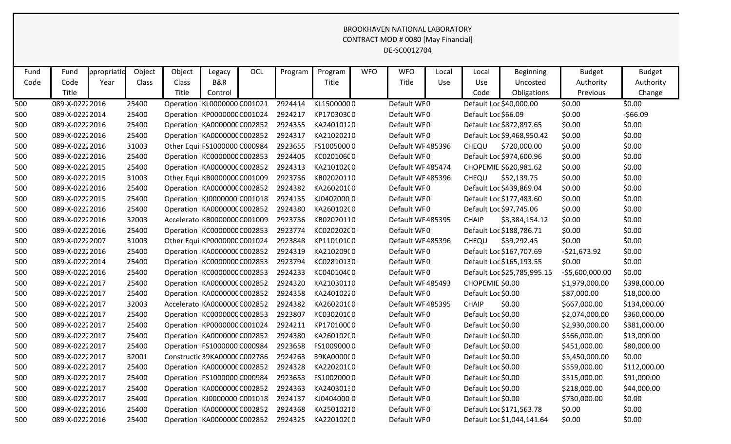## BROOKHAVEN NATIONAL LABORATORY CONTRACT MOD # 0080 [May Financial] DE-SC0012704

| Fund | Fund           | ppropriatio | Object | Object | Legacy                        | OCL | Program | Program    | <b>WFO</b> | <b>WFO</b>       | Local      | Local               | <b>Beginning</b>            | <b>Budget</b>   | <b>Budget</b> |
|------|----------------|-------------|--------|--------|-------------------------------|-----|---------|------------|------------|------------------|------------|---------------------|-----------------------------|-----------------|---------------|
| Code | Code           | Year        | Class  | Class  | B&R                           |     |         | Title      |            | Title            | <b>Use</b> | Use                 | Uncosted                    | Authority       | Authority     |
|      | Title          |             |        | Title  | Control                       |     |         |            |            |                  |            | Code                | Obligations                 | Previous        | Change        |
| 500  | 089-X-02222016 |             | 25400  |        | Operation : KL0000000 C001021 |     | 2924414 | KL15000000 |            | Default WF0      |            |                     | Default Loc \$40,000.00     | \$0.00          | \$0.00        |
| 500  | 089-X-02222014 |             | 25400  |        | Operation : KP000000C C001024 |     | 2924217 | KP170303C0 |            | Default WF0      |            | Default Loc \$66.09 |                             | \$0.00          | $-566.09$     |
| 500  | 089-X-02222016 |             | 25400  |        | Operation : KA000000C C002852 |     | 2924355 | KA24010120 |            | Default WF0      |            |                     | Default Loc \$872,897.65    | \$0.00          | \$0.00        |
| 500  | 089-X-02222016 |             | 25400  |        | Operation : KA0000000 C002852 |     | 2924317 | KA21020210 |            | Default WF0      |            |                     | Default Loc \$9,468,950.42  | \$0.00          | \$0.00        |
| 500  | 089-X-02222016 |             | 31003  |        | Other Equi  FS1000000 C000984 |     | 2923655 | FS10050000 |            | Default WF485396 |            | CHEQU               | \$720,000.00                | \$0.00          | \$0.00        |
| 500  | 089-X-02222016 |             | 25400  |        | Operation : KC000000C C002853 |     | 2924405 | KC020106C0 |            | Default WF0      |            |                     | Default Loc \$974,600.96    | \$0.00          | \$0.00        |
| 500  | 089-X-02222015 |             | 25400  |        | Operation : KA0000000 C002852 |     | 2924313 | KA21010200 |            | Default WF485474 |            |                     | CHOPEMIE \$620,981.62       | \$0.00          | \$0.00        |
| 500  | 089-X-02222015 |             | 31003  |        | Other Equi KB000000C C001009  |     | 2923736 | KB02020110 |            | Default WF485396 |            | CHEQU               | \$52,139.75                 | \$0.00          | \$0.00        |
| 500  | 089-X-02222016 |             | 25400  |        | Operation : KA0000000 C002852 |     | 2924382 | KA260201(0 |            | Default WF0      |            |                     | Default Loc \$439,869.04    | \$0.00          | \$0.00        |
| 500  | 089-X-02222015 |             | 25400  |        | Operation : KJ0000000 C001018 |     | 2924135 | KJ04020000 |            | Default WF0      |            |                     | Default Loc \$177,483.60    | \$0.00          | \$0.00        |
| 500  | 089-X-02222016 |             | 25400  |        | Operation : KA0000000 C002852 |     | 2924380 | KA26010200 |            | Default WF0      |            |                     | Default Loc \$97,745.06     | \$0.00          | \$0.00        |
| 500  | 089-X-02222016 |             | 32003  |        | Accelerato KB000000C C001009  |     | 2923736 | KB02020110 |            | Default WF485395 |            | <b>CHAIP</b>        | \$3,384,154.12              | \$0.00          | \$0.00        |
| 500  | 089-X-02222016 |             | 25400  |        | Operation : KC000000C C002853 |     | 2923774 | KC02020200 |            | Default WF0      |            |                     | Default Loc \$188,786.71    | \$0.00          | \$0.00        |
| 500  | 089-X-02222007 |             | 31003  |        | Other Equi  KP000000C C001024 |     | 2923848 | KP110101C0 |            | Default WF485396 |            | CHEQU               | \$39,292.45                 | \$0.00          | \$0.00        |
| 500  | 089-X-02222016 |             | 25400  |        | Operation : KA0000000 C002852 |     | 2924319 | KA210209(0 |            | Default WF0      |            |                     | Default Loc \$167,707.69    | $-521,673.92$   | \$0.00        |
| 500  | 089-X-02222014 |             | 25400  |        | Operation : KC000000C C002853 |     | 2923794 | KC02810130 |            | Default WF0      |            |                     | Default Loc \$165,193.55    | \$0.00          | \$0.00        |
| 500  | 089-X-02222016 |             | 25400  |        | Operation : KC000000C C002853 |     | 2924233 | KC040104C0 |            | Default WF0      |            |                     | Default Loc \$25,785,995.15 | -\$5,600,000.00 | \$0.00        |
| 500  | 089-X-02222017 |             | 25400  |        | Operation : KA0000000 C002852 |     | 2924320 | KA21030110 |            | Default WF485493 |            | CHOPEMIE \$0.00     |                             | \$1,979,000.00  | \$398,000.00  |
| 500  | 089-X-02222017 |             | 25400  |        | Operation : KA0000000 C002852 |     | 2924358 | KA24010220 |            | Default WF0      |            | Default Loc \$0.00  |                             | \$87,000.00     | \$18,000.00   |
| 500  | 089-X-02222017 |             | 32003  |        | Accelerato KA0000000 C002852  |     | 2924382 | KA260201(0 |            | Default WF485395 |            | <b>CHAIP</b>        | \$0.00                      | \$667,000.00    | \$134,000.00  |
| 500  | 089-X-02222017 |             | 25400  |        | Operation : KC000000C C002853 |     | 2923807 | KC030201C0 |            | Default WF0      |            | Default Loc \$0.00  |                             | \$2,074,000.00  | \$360,000.00  |
| 500  | 089-X-02222017 |             | 25400  |        | Operation : KP000000C C001024 |     | 2924211 | KP170100C0 |            | Default WF0      |            | Default Loc \$0.00  |                             | \$2,930,000.00  | \$381,000.00  |
| 500  | 089-X-02222017 |             | 25400  |        | Operation : KA0000000 C002852 |     | 2924380 | KA26010200 |            | Default WF0      |            | Default Loc \$0.00  |                             | \$566,000.00    | \$13,000.00   |
| 500  | 089-X-02222017 |             | 25400  |        | Operation : FS1000000 C000984 |     | 2923658 | FS10090000 |            | Default WF0      |            | Default Loc \$0.00  |                             | \$451,000.00    | \$80,000.00   |
| 500  | 089-X-02222017 |             | 32001  |        | Constructic 39KA0000C C002786 |     | 2924263 | 39KA000000 |            | Default WF0      |            | Default Loc \$0.00  |                             | \$5,450,000.00  | \$0.00        |
| 500  | 089-X-02222017 |             | 25400  |        | Operation : KA0000000 C002852 |     | 2924328 | KA220201(0 |            | Default WF0      |            | Default Loc \$0.00  |                             | \$559,000.00    | \$112,000.00  |
| 500  | 089-X-02222017 |             | 25400  |        | Operation : FS1000000 C000984 |     | 2923653 | FS10020000 |            | Default WF0      |            | Default Loc \$0.00  |                             | \$515,000.00    | \$91,000.00   |
| 500  | 089-X-02222017 |             | 25400  |        | Operation : KA0000000 C002852 |     | 2924363 | KA24030130 |            | Default WF0      |            | Default Loc \$0.00  |                             | \$218,000.00    | \$44,000.00   |
| 500  | 089-X-02222017 |             | 25400  |        | Operation : KJ0000000 C001018 |     | 2924137 | KJ04040000 |            | Default WF0      |            | Default Loc \$0.00  |                             | \$730,000.00    | \$0.00        |
| 500  | 089-X-02222016 |             | 25400  |        | Operation : KA0000000 C002852 |     | 2924368 | KA25010210 |            | Default WF0      |            |                     | Default Loc \$171,563.78    | \$0.00          | \$0.00        |
| 500  | 089-X-02222016 |             | 25400  |        | Operation : KA0000000 C002852 |     | 2924325 | KA220102(0 |            | Default WF0      |            |                     | Default Loc \$1,044,141.64  | \$0.00          | \$0.00        |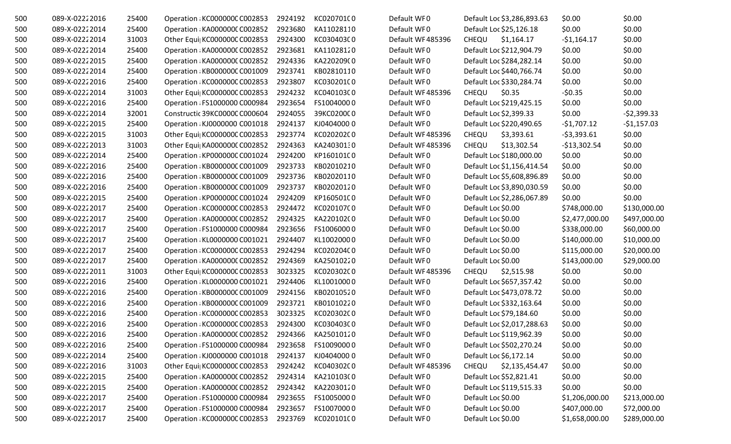| 500 | 089-X-02222016 | 25400 | Operation : KC000000C C002853 | 2924192 | KC020701C0 | Default WF0      | Default Loc \$3,286,893.63     | \$0.00         | \$0.00       |
|-----|----------------|-------|-------------------------------|---------|------------|------------------|--------------------------------|----------------|--------------|
| 500 | 089-X-02222014 | 25400 | Operation : KA0000000 C002852 | 2923680 | KA11028110 | Default WF0      | Default Loc \$25,126.18        | \$0.00         | \$0.00       |
| 500 | 089-X-02222014 | 31003 | Other Equi KC000000C C002853  | 2924300 | KC030403C0 | Default WF485396 | \$1,164.17<br><b>CHEQU</b>     | $-51,164.17$   | \$0.00       |
| 500 | 089-X-02222014 | 25400 | Operation : KA0000000 C002852 | 2923681 | KA11028120 | Default WF0      | Default Loc \$212,904.79       | \$0.00         | \$0.00       |
| 500 | 089-X-02222015 | 25400 | Operation : KA0000000 C002852 | 2924336 | KA220209(0 | Default WF0      | Default Loc \$284,282.14       | \$0.00         | \$0.00       |
| 500 | 089-X-02222014 | 25400 | Operation : KB000000C C001009 | 2923741 | KB02810110 | Default WF0      | Default Loc \$440,766.74       | \$0.00         | \$0.00       |
| 500 | 089-X-02222016 | 25400 | Operation : KC000000C C002853 | 2923807 | KC03020100 | Default WF0      | Default Loc \$330,284.74       | \$0.00         | \$0.00       |
| 500 | 089-X-02222014 | 31003 | Other Equi  KC000000C C002853 | 2924232 | KC040103C0 | Default WF485396 | CHEQU<br>\$0.35                | $-50.35$       | \$0.00       |
| 500 | 089-X-02222016 | 25400 | Operation : FS1000000 C000984 | 2923654 | FS10040000 | Default WF0      | Default Loc \$219,425.15       | \$0.00         | \$0.00       |
| 500 | 089-X-02222014 | 32001 | Constructic 39KC0000C C000604 | 2924055 | 39KC0200C0 | Default WF0      | Default Loc \$2,399.33         | \$0.00         | $-52,399.33$ |
| 500 | 089-X-02222015 | 25400 | Operation : KJ0000000 C001018 | 2924137 | KJ04040000 | Default WF0      | Default Loc \$220,490.65       | $-$1,707.12$   | $-$1,157.03$ |
| 500 | 089-X-02222015 | 31003 | Other Equi  KC000000C C002853 | 2923774 | KC020202C0 | Default WF485396 | \$3,393.61<br><b>CHEQU</b>     | $-53,393.61$   | \$0.00       |
| 500 | 089-X-02222013 | 31003 | Other Equi  KA0000000 C002852 | 2924363 | KA24030130 | Default WF485396 | CHEQU<br>\$13,302.54           | $-$13,302.54$  | \$0.00       |
| 500 | 089-X-02222014 | 25400 | Operation : KP000000C C001024 | 2924200 | KP160101C0 | Default WF0      | Default Loc \$180,000.00       | \$0.00         | \$0.00       |
| 500 | 089-X-02222016 | 25400 | Operation : KB000000C C001009 | 2923733 | KB02010210 | Default WF0      | Default Loc \$1,156,414.54     | \$0.00         | \$0.00       |
| 500 | 089-X-02222016 | 25400 | Operation : KB000000C C001009 | 2923736 | KB02020110 | Default WF0      | Default Loc \$5,608,896.89     | \$0.00         | \$0.00       |
| 500 | 089-X-02222016 | 25400 | Operation : KB000000C C001009 | 2923737 | KB02020120 | Default WF0      | Default Loc \$3,890,030.59     | \$0.00         | \$0.00       |
| 500 | 089-X-02222015 | 25400 | Operation : KP000000C C001024 | 2924209 | KP160501C0 | Default WF0      | Default Loc \$2,286,067.89     | \$0.00         | \$0.00       |
| 500 | 089-X-02222017 | 25400 | Operation : KC000000C C002853 | 2924472 | KC020107C0 | Default WF0      | Default Loc \$0.00             | \$748,000.00   | \$130,000.00 |
| 500 | 089-X-02222017 | 25400 | Operation : KA0000000 C002852 | 2924325 | KA220102(0 | Default WF0      | Default Loc \$0.00             | \$2,477,000.00 | \$497,000.00 |
| 500 | 089-X-02222017 | 25400 | Operation : FS1000000 C000984 | 2923656 | FS10060000 | Default WF0      | Default Loc \$0.00             | \$338,000.00   | \$60,000.00  |
| 500 | 089-X-02222017 | 25400 | Operation : KL0000000 C001021 | 2924407 | KL10020000 | Default WF0      | Default Loc \$0.00             | \$140,000.00   | \$10,000.00  |
| 500 | 089-X-02222017 | 25400 | Operation : KC000000C C002853 | 2924294 | KC020204C0 | Default WF0      | Default Loc \$0.00             | \$115,000.00   | \$20,000.00  |
| 500 | 089-X-02222017 | 25400 | Operation : KA0000000 C002852 | 2924369 | KA25010220 | Default WF0      | Default Loc \$0.00             | \$143,000.00   | \$29,000.00  |
| 500 | 089-X-02222011 | 31003 | Other Equi  KC000000C C002853 | 3023325 | KC020302C0 | Default WF485396 | <b>CHEQU</b><br>\$2,515.98     | \$0.00         | \$0.00       |
| 500 | 089-X-02222016 | 25400 | Operation : KL0000000 C001021 | 2924406 | KL10010000 | Default WF0      | Default Loc \$657,357.42       | \$0.00         | \$0.00       |
| 500 | 089-X-02222016 | 25400 | Operation : KB000000C C001009 | 2924156 | KB02010520 | Default WF0      | Default Loc \$473,078.72       | \$0.00         | \$0.00       |
| 500 | 089-X-02222016 | 25400 | Operation : KB000000C C001009 | 2923721 | KB01010220 | Default WF0      | Default Loc \$332,163.64       | \$0.00         | \$0.00       |
| 500 | 089-X-02222016 | 25400 | Operation : KC000000C C002853 | 3023325 | KC020302C0 | Default WF0      | Default Loc \$79,184.60        | \$0.00         | \$0.00       |
| 500 | 089-X-02222016 | 25400 | Operation : KC000000C C002853 | 2924300 | KC030403C0 | Default WF0      | Default Loc \$2,017,288.63     | \$0.00         | \$0.00       |
| 500 | 089-X-02222016 | 25400 | Operation : KA000000C C002852 | 2924366 | KA25010120 | Default WF0      | Default Loc \$119,962.39       | \$0.00         | \$0.00       |
| 500 | 089-X-02222016 | 25400 | Operation : FS1000000 C000984 | 2923658 | FS10090000 | Default WF0      | Default Loc \$502,270.24       | \$0.00         | \$0.00       |
| 500 | 089-X-02222014 | 25400 | Operation : KJ0000000 C001018 | 2924137 | KJ04040000 | Default WF0      | Default Loc \$6,172.14         | \$0.00         | \$0.00       |
| 500 | 089-X-02222016 | 31003 | Other Equi  KC000000C C002853 | 2924242 | KC040302C0 | Default WF485396 | <b>CHEQU</b><br>\$2,135,454.47 | \$0.00         | \$0.00       |
| 500 | 089-X-02222015 | 25400 | Operation : KA0000000 C002852 | 2924314 | KA210103(0 | Default WF0      | Default Loc \$52,821.41        | \$0.00         | \$0.00       |
| 500 | 089-X-02222015 | 25400 | Operation : KA000000C C002852 | 2924342 | KA22030120 | Default WF0      | Default Loc \$119,515.33       | \$0.00         | \$0.00       |
| 500 | 089-X-02222017 | 25400 | Operation : FS1000000 C000984 | 2923655 | FS10050000 | Default WF0      | Default Loc \$0.00             | \$1,206,000.00 | \$213,000.00 |
| 500 | 089-X-02222017 | 25400 | Operation : FS1000000 C000984 | 2923657 | FS10070000 | Default WF0      | Default Loc \$0.00             | \$407,000.00   | \$72,000.00  |
| 500 | 089-X-02222017 | 25400 | Operation : KC000000C C002853 | 2923769 | KC020101C0 | Default WF0      | Default Loc \$0.00             | \$1,658,000.00 | \$289,000.00 |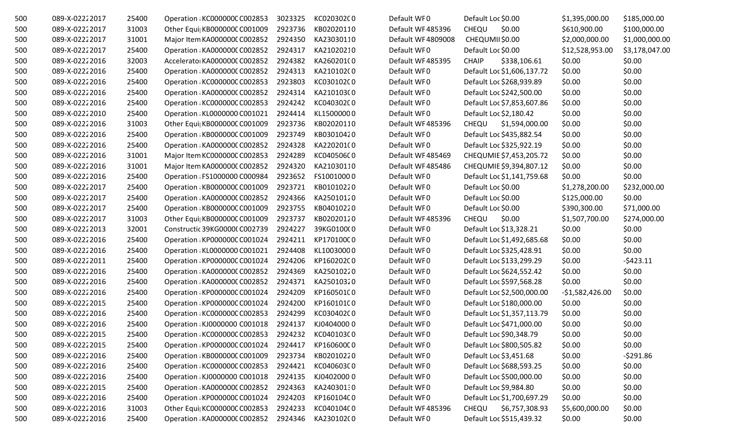| 500 | 089-X-02222017 | 25400 | Operation : KC000000C C002853 | 3023325 | KC020302C0 | Default WF0       | Default Loc \$0.00             | \$1,395,000.00   | \$185,000.00   |
|-----|----------------|-------|-------------------------------|---------|------------|-------------------|--------------------------------|------------------|----------------|
| 500 | 089-X-02222017 | 31003 | Other Equi  KB000000C C001009 | 2923736 | KB02020110 | Default WF485396  | CHEQU<br>\$0.00                | \$610,900.00     | \$100,000.00   |
| 500 | 089-X-02222017 | 31001 | Major Item KA0000000 C002852  | 2924350 | KA23030110 | Default WF4809008 | CHEQUMII \$0.00                | \$2,000,000.00   | \$1,000,000.00 |
| 500 | 089-X-02222017 | 25400 | Operation : KA0000000 C002852 | 2924317 | KA21020210 | Default WF0       | Default Loc \$0.00             | \$12,528,953.00  | \$3,178,047.00 |
| 500 | 089-X-02222016 | 32003 | Accelerator KA0000000 C002852 | 2924382 | KA260201(0 | Default WF485395  | <b>CHAIP</b><br>\$338,106.61   | \$0.00           | \$0.00         |
| 500 | 089-X-02222016 | 25400 | Operation : KA0000000 C002852 | 2924313 | KA210102(0 | Default WF0       | Default Loc \$1,606,137.72     | \$0.00           | \$0.00         |
| 500 | 089-X-02222016 | 25400 | Operation : KC000000C C002853 | 2923803 | KC030102C0 | Default WF0       | Default Loc \$268,939.89       | \$0.00           | \$0.00         |
| 500 | 089-X-02222016 | 25400 | Operation : KA0000000 C002852 | 2924314 | KA210103(0 | Default WF0       | Default Loc \$242,500.00       | \$0.00           | \$0.00         |
| 500 | 089-X-02222016 | 25400 | Operation : KC000000C C002853 | 2924242 | KC040302C0 | Default WF0       | Default Loc \$7,853,607.86     | \$0.00           | \$0.00         |
| 500 | 089-X-02222010 | 25400 | Operation : KL0000000 C001021 | 2924414 | KL15000000 | Default WF0       | Default Loc \$2,180.42         | \$0.00           | \$0.00         |
| 500 | 089-X-02222016 | 31003 | Other Equi KB000000C C001009  | 2923736 | KB02020110 | Default WF485396  | \$1,594,000.00<br><b>CHEQU</b> | \$0.00           | \$0.00         |
| 500 | 089-X-02222016 | 25400 | Operation : KB000000C C001009 | 2923749 | KB03010420 | Default WF0       | Default Loc \$435,882.54       | \$0.00           | \$0.00         |
| 500 | 089-X-02222016 | 25400 | Operation : KA0000000 C002852 | 2924328 | KA220201(0 | Default WF0       | Default Loc \$325,922.19       | \$0.00           | \$0.00         |
| 500 | 089-X-02222016 | 31001 | Major Item KC000000C C002853  | 2924289 | KC040506C0 | Default WF485469  | CHEQUMIE \$7,453,205.72        | \$0.00           | \$0.00         |
| 500 | 089-X-02222016 | 31001 | Major Item KA0000000 C002852  | 2924320 | KA21030110 | Default WF485486  | CHEQUMIE \$9,394,807.12        | \$0.00           | \$0.00         |
| 500 | 089-X-02222016 | 25400 | Operation : FS1000000 C000984 | 2923652 | FS10010000 | Default WF0       | Default Loc \$1,141,759.68     | \$0.00           | \$0.00         |
| 500 | 089-X-02222017 | 25400 | Operation : KB000000C C001009 | 2923721 | KB01010220 | Default WF0       | Default Loc \$0.00             | \$1,278,200.00   | \$232,000.00   |
| 500 | 089-X-02222017 | 25400 | Operation : KA000000C C002852 | 2924366 | KA25010120 | Default WF0       | Default Loc \$0.00             | \$125,000.00     | \$0.00         |
| 500 | 089-X-02222017 | 25400 | Operation : KB000000C C001009 | 2923755 | KB04010220 | Default WF0       | Default Loc \$0.00             | \$390,300.00     | \$71,000.00    |
| 500 | 089-X-02222017 | 31003 | Other Equi  KB000000C C001009 | 2923737 | KB02020120 | Default WF485396  | \$0.00<br><b>CHEQU</b>         | \$1,507,700.00   | \$274,000.00   |
| 500 | 089-X-02222013 | 32001 | Constructic 39KG0000(C002739  | 2924227 | 39KG0100(0 | Default WF0       | Default Loc \$13,328.21        | \$0.00           | \$0.00         |
| 500 | 089-X-02222016 | 25400 | Operation : KP000000C C001024 | 2924211 | KP170100C0 | Default WF0       | Default Loc \$1,492,685.68     | \$0.00           | \$0.00         |
| 500 | 089-X-02222016 | 25400 | Operation : KL0000000 C001021 | 2924408 | KL10030000 | Default WF0       | Default Loc \$325,428.91       | \$0.00           | \$0.00         |
| 500 | 089-X-02222011 | 25400 | Operation : KP000000C C001024 | 2924206 | KP160202C0 | Default WF0       | Default Loc \$133,299.29       | \$0.00           | $-5423.11$     |
| 500 | 089-X-02222016 | 25400 | Operation : KA0000000 C002852 | 2924369 | KA25010220 | Default WF0       | Default Loc \$624,552.42       | \$0.00           | \$0.00         |
| 500 | 089-X-02222016 | 25400 | Operation : KA0000000 C002852 | 2924371 | KA25010320 | Default WF0       | Default Loc \$597,568.28       | \$0.00           | \$0.00         |
| 500 | 089-X-02222016 | 25400 | Operation : KP000000C C001024 | 2924209 | KP160501C0 | Default WF0       | Default Loc \$2,500,000.00     | $-51,582,426.00$ | \$0.00         |
| 500 | 089-X-02222015 | 25400 | Operation : KP000000C C001024 | 2924200 | KP160101C0 | Default WF0       | Default Loc \$180,000.00       | \$0.00           | \$0.00         |
| 500 | 089-X-02222016 | 25400 | Operation : KC000000C C002853 | 2924299 | KC030402C0 | Default WF0       | Default Loc \$1,357,113.79     | \$0.00           | \$0.00         |
| 500 | 089-X-02222016 | 25400 | Operation : KJ0000000 C001018 | 2924137 | KJ04040000 | Default WF0       | Default Loc \$471,000.00       | \$0.00           | \$0.00         |
| 500 | 089-X-02222015 | 25400 | Operation : KC000000C C002853 | 2924232 | KC040103C0 | Default WF0       | Default Loc \$90,348.79        | \$0.00           | \$0.00         |
| 500 | 089-X-02222015 | 25400 | Operation: KP000000C C001024  | 2924417 | KP160600C0 | Default WF0       | Default Loc \$800,505.82       | \$0.00           | \$0.00         |
| 500 | 089-X-02222016 | 25400 | Operation : KB000000C C001009 | 2923734 | KB02010220 | Default WF0       | Default Loc \$3,451.68         | \$0.00           | -\$291.86      |
| 500 | 089-X-02222016 | 25400 | Operation : KC000000C C002853 | 2924421 | KC040603C0 | Default WF0       | Default Loc \$688,593.25       | \$0.00           | \$0.00         |
| 500 | 089-X-02222016 | 25400 | Operation : KJ0000000 C001018 | 2924135 | KJ04020000 | Default WF0       | Default Loc \$500,000.00       | \$0.00           | \$0.00         |
| 500 | 089-X-02222015 | 25400 | Operation : KA0000000 C002852 | 2924363 | KA24030130 | Default WF0       | Default Loc \$9,984.80         | \$0.00           | \$0.00         |
| 500 | 089-X-02222016 | 25400 | Operation: KP000000C C001024  | 2924203 | KP160104C0 | Default WF0       | Default Loc \$1,700,697.29     | \$0.00           | \$0.00         |
| 500 | 089-X-02222016 | 31003 | Other Equi  KC000000C C002853 | 2924233 | KC040104C0 | Default WF485396  | CHEQU<br>\$6,757,308.93        | \$5,600,000.00   | \$0.00         |
| 500 | 089-X-02222016 | 25400 | Operation : KA000000C C002852 | 2924346 | KA230102(0 | Default WF0       | Default Loc \$515,439.32       | \$0.00           | \$0.00         |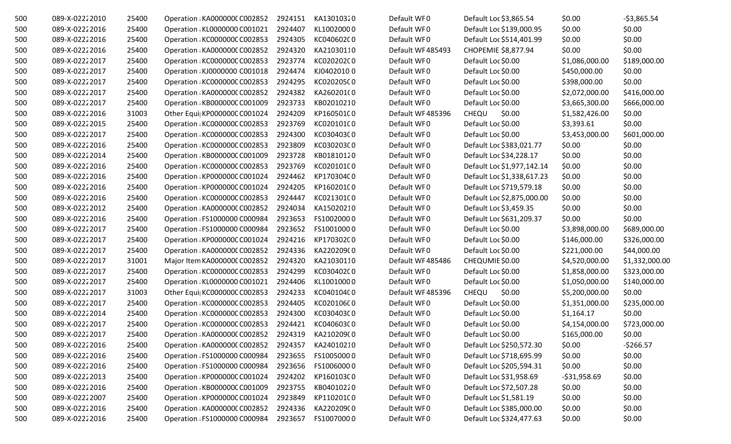| 500 | 089-X-02222010 | 25400 | Operation : KA0000000 C002852 | 2924151 | KA13010320 | Default WF0      | Default Loc \$3,865.54     | \$0.00         | $-53,865.54$   |
|-----|----------------|-------|-------------------------------|---------|------------|------------------|----------------------------|----------------|----------------|
| 500 | 089-X-02222016 | 25400 | Operation : KL0000000 C001021 | 2924407 | KL10020000 | Default WF0      | Default Loc \$139,000.95   | \$0.00         | \$0.00         |
| 500 | 089-X-02222016 | 25400 | Operation : KC000000C C002853 | 2924305 | KC040602C0 | Default WF0      | Default Loc \$514,401.99   | \$0.00         | \$0.00         |
| 500 | 089-X-02222016 | 25400 | Operation : KA0000000 C002852 | 2924320 | KA21030110 | Default WF485493 | CHOPEMIE \$8,877.94        | \$0.00         | \$0.00         |
| 500 | 089-X-02222017 | 25400 | Operation: KC000000C C002853  | 2923774 | KC020202C0 | Default WF0      | Default Loc \$0.00         | \$1,086,000.00 | \$189,000.00   |
| 500 | 089-X-02222017 | 25400 | Operation : KJ0000000 C001018 | 2924474 | KJ04020100 | Default WF0      | Default Loc \$0.00         | \$450,000.00   | \$0.00         |
| 500 | 089-X-02222017 | 25400 | Operation : KC000000C C002853 | 2924295 | KC020205C0 | Default WF0      | Default Loc \$0.00         | \$398,000.00   | \$0.00         |
| 500 | 089-X-02222017 | 25400 | Operation : KA0000000 C002852 | 2924382 | KA260201(0 | Default WF0      | Default Loc \$0.00         | \$2,072,000.00 | \$416,000.00   |
| 500 | 089-X-02222017 | 25400 | Operation : KB000000C C001009 | 2923733 | KB02010210 | Default WF0      | Default Loc \$0.00         | \$3,665,300.00 | \$666,000.00   |
| 500 | 089-X-02222016 | 31003 | Other Equi  KP000000C C001024 | 2924209 | KP160501C0 | Default WF485396 | <b>CHEQU</b><br>\$0.00     | \$1,582,426.00 | \$0.00         |
| 500 | 089-X-02222015 | 25400 | Operation : KC000000C C002853 | 2923769 | KC020101C0 | Default WF0      | Default Loc \$0.00         | \$3,393.61     | \$0.00         |
| 500 | 089-X-02222017 | 25400 | Operation : KC000000C C002853 | 2924300 | KC030403C0 | Default WF0      | Default Loc \$0.00         | \$3,453,000.00 | \$601,000.00   |
| 500 | 089-X-02222016 | 25400 | Operation : KC000000C C002853 | 2923809 | KC030203C0 | Default WF0      | Default Loc \$383,021.77   | \$0.00         | \$0.00         |
| 500 | 089-X-02222014 | 25400 | Operation : KB000000C C001009 | 2923728 | KB01810120 | Default WF0      | Default Loc \$34,228.17    | \$0.00         | \$0.00         |
| 500 | 089-X-02222016 | 25400 | Operation : KC000000C C002853 | 2923769 | KC02010100 | Default WF0      | Default Loc \$1,977,142.14 | \$0.00         | \$0.00         |
| 500 | 089-X-02222016 | 25400 | Operation : KP000000C C001024 | 2924462 | KP170304C0 | Default WF0      | Default Loc \$1,338,617.23 | \$0.00         | \$0.00         |
| 500 | 089-X-02222016 | 25400 | Operation : KP000000C C001024 | 2924205 | KP160201C0 | Default WF0      | Default Loc \$719,579.18   | \$0.00         | \$0.00         |
| 500 | 089-X-02222016 | 25400 | Operation: KC000000C C002853  | 2924447 | KC021301C0 | Default WF0      | Default Loc \$2,875,000.00 | \$0.00         | \$0.00         |
| 500 | 089-X-02222012 | 25400 | Operation : KA0000000 C002852 | 2924034 | KA15020210 | Default WF0      | Default Loc \$3,459.35     | \$0.00         | \$0.00         |
| 500 | 089-X-02222016 | 25400 | Operation : FS1000000 C000984 | 2923653 | FS10020000 | Default WF0      | Default Loc \$631,209.37   | \$0.00         | \$0.00         |
| 500 | 089-X-02222017 | 25400 | Operation : FS1000000 C000984 | 2923652 | FS10010000 | Default WF0      | Default Loc \$0.00         | \$3,898,000.00 | \$689,000.00   |
| 500 | 089-X-02222017 | 25400 | Operation : KP000000C C001024 | 2924216 | KP170302C0 | Default WF0      | Default Loc \$0.00         | \$146,000.00   | \$326,000.00   |
| 500 | 089-X-02222017 | 25400 | Operation : KA0000000 C002852 | 2924336 | KA220209(0 | Default WF0      | Default Loc \$0.00         | \$221,000.00   | \$44,000.00    |
| 500 | 089-X-02222017 | 31001 | Major Item KA0000000 C002852  | 2924320 | KA21030110 | Default WF485486 | CHEQUMIE \$0.00            | \$4,520,000.00 | \$1,332,000.00 |
| 500 | 089-X-02222017 | 25400 | Operation : KC000000C C002853 | 2924299 | KC030402C0 | Default WF0      | Default Loc \$0.00         | \$1,858,000.00 | \$323,000.00   |
| 500 | 089-X-02222017 | 25400 | Operation : KL0000000 C001021 | 2924406 | KL10010000 | Default WF0      | Default Loc \$0.00         | \$1,050,000.00 | \$140,000.00   |
| 500 | 089-X-02222017 | 31003 | Other Equi  KC000000C C002853 | 2924233 | KC040104C0 | Default WF485396 | <b>CHEQU</b><br>\$0.00     | \$5,200,000.00 | \$0.00         |
| 500 | 089-X-02222017 | 25400 | Operation : KC000000C C002853 | 2924405 | KC020106C0 | Default WF0      | Default Loc \$0.00         | \$1,351,000.00 | \$235,000.00   |
| 500 | 089-X-02222014 | 25400 | Operation : KC000000C C002853 | 2924300 | KC030403C0 | Default WF0      | Default Loc \$0.00         | \$1,164.17     | \$0.00         |
| 500 | 089-X-02222017 | 25400 | Operation : KC000000C C002853 | 2924421 | KC040603C0 | Default WF0      | Default Loc \$0.00         | \$4,154,000.00 | \$723,000.00   |
| 500 | 089-X-02222017 | 25400 | Operation : KA0000000 C002852 | 2924319 | KA210209(0 | Default WF0      | Default Loc \$0.00         | \$165,000.00   | \$0.00         |
| 500 | 089-X-02222016 | 25400 | Operation : KA0000000 C002852 | 2924357 | KA24010210 | Default WF0      | Default Loc \$250,572.30   | \$0.00         | $-5266.57$     |
| 500 | 089-X-02222016 | 25400 | Operation : FS1000000 C000984 | 2923655 | FS10050000 | Default WF0      | Default Loc \$718,695.99   | \$0.00         | \$0.00         |
| 500 | 089-X-02222016 | 25400 | Operation : FS1000000 C000984 | 2923656 | FS10060000 | Default WF0      | Default Loc \$205,594.31   | \$0.00         | \$0.00         |
| 500 | 089-X-02222013 | 25400 | Operation : KP000000C C001024 | 2924202 | KP160103C0 | Default WF0      | Default Loc \$31,958.69    | $-531,958.69$  | \$0.00         |
| 500 | 089-X-02222016 | 25400 | Operation : KB000000C C001009 | 2923755 | KB04010220 | Default WF0      | Default Loc \$72,507.28    | \$0.00         | \$0.00         |
| 500 | 089-X-02222007 | 25400 | Operation : KP000000C C001024 | 2923849 | KP110201C0 | Default WF0      | Default Loc \$1,581.19     | \$0.00         | \$0.00         |
| 500 | 089-X-02222016 | 25400 | Operation : KA000000C C002852 | 2924336 | KA220209(0 | Default WF0      | Default Loc \$385,000.00   | \$0.00         | \$0.00         |
| 500 | 089-X-02222016 | 25400 | Operation : FS1000000 C000984 | 2923657 | FS10070000 | Default WF0      | Default Loc \$324,477.63   | \$0.00         | \$0.00         |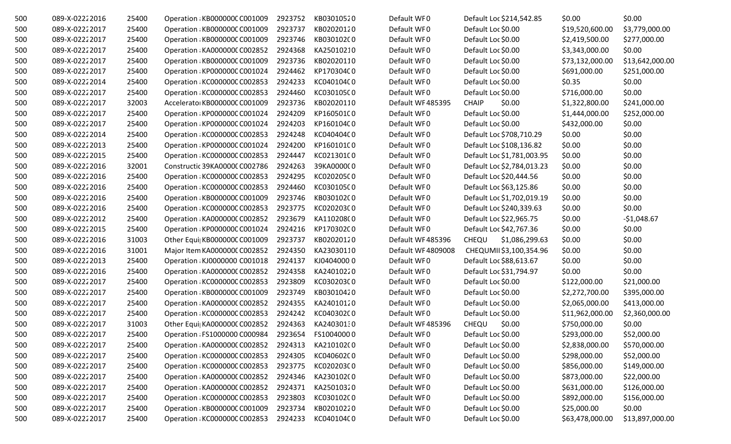| 500 | 089-X-02222016 | 25400 | Operation : KB000000C C001009 | 2923752 | KB03010520 | Default WF0       | Default Loc \$214,542.85   | \$0.00          | \$0.00          |
|-----|----------------|-------|-------------------------------|---------|------------|-------------------|----------------------------|-----------------|-----------------|
| 500 | 089-X-02222017 | 25400 | Operation : KB000000C C001009 | 2923737 | KB02020120 | Default WF0       | Default Loc \$0.00         | \$19,520,600.00 | \$3,779,000.00  |
| 500 | 089-X-02222017 | 25400 | Operation : KB000000C C001009 | 2923746 | KB030102C0 | Default WF0       | Default Loc \$0.00         | \$2,419,500.00  | \$277,000.00    |
| 500 | 089-X-02222017 | 25400 | Operation : KA0000000 C002852 | 2924368 | KA25010210 | Default WF0       | Default Loc \$0.00         | \$3,343,000.00  | \$0.00          |
| 500 | 089-X-02222017 | 25400 | Operation : KB000000C C001009 | 2923736 | KB02020110 | Default WF0       | Default Loc \$0.00         | \$73,132,000.00 | \$13,642,000.00 |
| 500 | 089-X-02222017 | 25400 | Operation : KP000000C C001024 | 2924462 | KP170304C0 | Default WF0       | Default Loc \$0.00         | \$691,000.00    | \$251,000.00    |
| 500 | 089-X-02222014 | 25400 | Operation : KC000000C C002853 | 2924233 | KC040104C0 | Default WF0       | Default Loc \$0.00         | \$0.35          | \$0.00          |
| 500 | 089-X-02222017 | 25400 | Operation : KC000000C C002853 | 2924460 | KC030105C0 | Default WF0       | Default Loc \$0.00         | \$716,000.00    | \$0.00          |
| 500 | 089-X-02222017 | 32003 | Accelerator KB000000C C001009 | 2923736 | KB02020110 | Default WF485395  | <b>CHAIP</b><br>\$0.00     | \$1,322,800.00  | \$241,000.00    |
| 500 | 089-X-02222017 | 25400 | Operation: KP000000C C001024  | 2924209 | KP160501C0 | Default WF0       | Default Loc \$0.00         | \$1,444,000.00  | \$252,000.00    |
| 500 | 089-X-02222017 | 25400 | Operation : KP000000C C001024 | 2924203 | KP160104C0 | Default WF0       | Default Loc \$0.00         | \$432,000.00    | \$0.00          |
| 500 | 089-X-02222014 | 25400 | Operation : KC000000C C002853 | 2924248 | KC040404C0 | Default WF0       | Default Loc \$708,710.29   | \$0.00          | \$0.00          |
| 500 | 089-X-02222013 | 25400 | Operation : KP000000C C001024 | 2924200 | KP160101C0 | Default WF0       | Default Loc \$108,136.82   | \$0.00          | \$0.00          |
| 500 | 089-X-02222015 | 25400 | Operation: KC000000C C002853  | 2924447 | KC021301C0 | Default WF0       | Default Loc \$1,781,003.95 | \$0.00          | \$0.00          |
| 500 | 089-X-02222016 | 32001 | Constructic 39KA0000C C002786 | 2924263 | 39KA000000 | Default WF0       | Default Loc \$2,784,013.23 | \$0.00          | \$0.00          |
| 500 | 089-X-02222016 | 25400 | Operation : KC000000C C002853 | 2924295 | KC020205C0 | Default WF0       | Default Loc \$20,444.56    | \$0.00          | \$0.00          |
| 500 | 089-X-02222016 | 25400 | Operation : KC000000C C002853 | 2924460 | KC030105C0 | Default WF0       | Default Loc \$63,125.86    | \$0.00          | \$0.00          |
| 500 | 089-X-02222016 | 25400 | Operation : KB000000C C001009 | 2923746 | KB030102C0 | Default WF0       | Default Loc \$1,702,019.19 | \$0.00          | \$0.00          |
| 500 | 089-X-02222016 | 25400 | Operation: KC000000C C002853  | 2923775 | KC020203C0 | Default WF0       | Default Loc \$240,339.63   | \$0.00          | \$0.00          |
| 500 | 089-X-02222012 | 25400 | Operation : KA0000000 C002852 | 2923679 | KA11020800 | Default WF0       | Default Loc \$22,965.75    | \$0.00          | $-$1,048.67$    |
| 500 | 089-X-02222015 | 25400 | Operation : KP000000C C001024 | 2924216 | KP170302C0 | Default WF0       | Default Loc \$42,767.36    | \$0.00          | \$0.00          |
| 500 | 089-X-02222016 | 31003 | Other Equi KB000000C C001009  | 2923737 | KB02020120 | Default WF485396  | CHEQU<br>\$1,086,299.63    | \$0.00          | \$0.00          |
| 500 | 089-X-02222016 | 31001 | Major Item KA0000000 C002852  | 2924350 | KA23030110 | Default WF4809008 | CHEQUMII \$3,100,354.96    | \$0.00          | \$0.00          |
| 500 | 089-X-02222013 | 25400 | Operation : KJ0000000 C001018 | 2924137 | KJ04040000 | Default WF0       | Default Loc \$88,613.67    | \$0.00          | \$0.00          |
| 500 | 089-X-02222016 | 25400 | Operation : KA0000000 C002852 | 2924358 | KA24010220 | Default WF0       | Default Loc \$31,794.97    | \$0.00          | \$0.00          |
| 500 | 089-X-02222017 | 25400 | Operation : KC000000C C002853 | 2923809 | KC030203C0 | Default WF0       | Default Loc \$0.00         | \$122,000.00    | \$21,000.00     |
| 500 | 089-X-02222017 | 25400 | Operation : KB000000C C001009 | 2923749 | KB03010420 | Default WF0       | Default Loc \$0.00         | \$2,272,700.00  | \$395,000.00    |
| 500 | 089-X-02222017 | 25400 | Operation : KA000000C C002852 | 2924355 | KA24010120 | Default WF0       | Default Loc \$0.00         | \$2,065,000.00  | \$413,000.00    |
| 500 | 089-X-02222017 | 25400 | Operation : KC000000C C002853 | 2924242 | KC040302C0 | Default WF0       | Default Loc \$0.00         | \$11,962,000.00 | \$2,360,000.00  |
| 500 | 089-X-02222017 | 31003 | Other Equi  KA0000000 C002852 | 2924363 | KA24030130 | Default WF485396  | \$0.00<br>CHEQU            | \$750,000.00    | \$0.00          |
| 500 | 089-X-02222017 | 25400 | Operation : FS1000000 C000984 | 2923654 | FS10040000 | Default WF0       | Default Loc \$0.00         | \$293,000.00    | \$52,000.00     |
| 500 | 089-X-02222017 | 25400 | Operation : KA0000000 C002852 | 2924313 | KA21010200 | Default WF0       | Default Loc \$0.00         | \$2,838,000.00  | \$570,000.00    |
| 500 | 089-X-02222017 | 25400 | Operation : KC000000C C002853 | 2924305 | KC040602C0 | Default WF0       | Default Loc \$0.00         | \$298,000.00    | \$52,000.00     |
| 500 | 089-X-02222017 | 25400 | Operation: KC000000C C002853  | 2923775 | KC020203C0 | Default WF0       | Default Loc \$0.00         | \$856,000.00    | \$149,000.00    |
| 500 | 089-X-02222017 | 25400 | Operation : KA0000000 C002852 | 2924346 | KA230102(0 | Default WF0       | Default Loc \$0.00         | \$873,000.00    | \$22,000.00     |
| 500 | 089-X-02222017 | 25400 | Operation : KA0000000 C002852 | 2924371 | KA25010320 | Default WF0       | Default Loc \$0.00         | \$631,000.00    | \$126,000.00    |
| 500 | 089-X-02222017 | 25400 | Operation : KC000000C C002853 | 2923803 | KC030102C0 | Default WF0       | Default Loc \$0.00         | \$892,000.00    | \$156,000.00    |
| 500 | 089-X-02222017 | 25400 | Operation : KB000000C C001009 | 2923734 | KB02010220 | Default WF0       | Default Loc \$0.00         | \$25,000.00     | \$0.00          |
| 500 | 089-X-02222017 | 25400 | Operation : KC000000C C002853 | 2924233 | KC040104C0 | Default WF0       | Default Loc \$0.00         | \$63,478,000.00 | \$13,897,000.00 |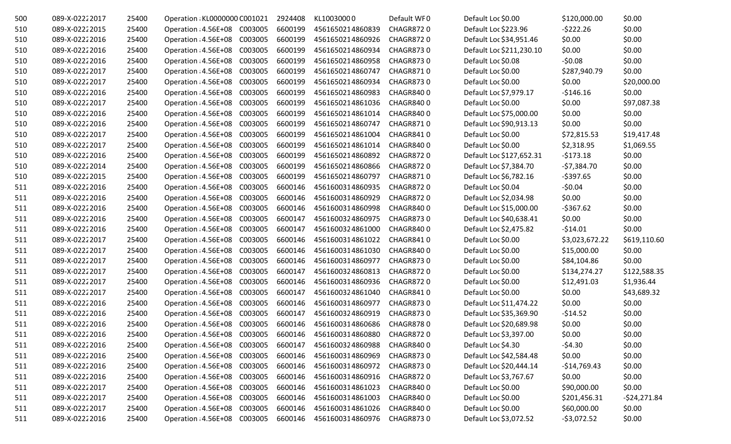| 500 | 089-X-02222017 | 25400 | Operation : KL0000000 C001021 |         | 2924408 | KL10030000       | Default WF0      | Default Loc \$0.00       | \$120,000.00   | \$0.00        |
|-----|----------------|-------|-------------------------------|---------|---------|------------------|------------------|--------------------------|----------------|---------------|
| 510 | 089-X-02222015 | 25400 | Operation : 4.56E+08 C003005  |         | 6600199 | 4561650214860839 | CHAGR8720        | Default Loc \$223.96     | $-5222.26$     | \$0.00        |
| 510 | 089-X-02222016 | 25400 | Operation : 4.56E+08          | C003005 | 6600199 | 4561650214860926 | CHAGR8720        | Default Loc \$34,951.46  | \$0.00         | \$0.00        |
| 510 | 089-X-02222016 | 25400 | Operation : 4.56E+08          | C003005 | 6600199 | 4561650214860934 | <b>CHAGR8730</b> | Default Loc \$211,230.10 | \$0.00         | \$0.00        |
| 510 | 089-X-02222016 | 25400 | Operation : 4.56E+08          | C003005 | 6600199 | 4561650214860958 | <b>CHAGR8730</b> | Default Loc \$0.08       | $-50.08$       | \$0.00        |
| 510 | 089-X-02222017 | 25400 | Operation : 4.56E+08          | C003005 | 6600199 | 4561650214860747 | <b>CHAGR8710</b> | Default Loc \$0.00       | \$287,940.79   | \$0.00        |
| 510 | 089-X-02222017 | 25400 | Operation : 4.56E+08          | C003005 | 6600199 | 4561650214860934 | <b>CHAGR8730</b> | Default Loc \$0.00       | \$0.00         | \$20,000.00   |
| 510 | 089-X-02222016 | 25400 | Operation : 4.56E+08          | C003005 | 6600199 | 4561650214860983 | <b>CHAGR8400</b> | Default Loc \$7,979.17   | $-$146.16$     | \$0.00        |
| 510 | 089-X-02222017 | 25400 | Operation : 4.56E+08          | C003005 | 6600199 | 4561650214861036 | <b>CHAGR8400</b> | Default Loc \$0.00       | \$0.00         | \$97,087.38   |
| 510 | 089-X-02222016 | 25400 | Operation : 4.56E+08          | C003005 | 6600199 | 4561650214861014 | <b>CHAGR8400</b> | Default Loc \$75,000.00  | \$0.00         | \$0.00        |
| 510 | 089-X-02222016 | 25400 | Operation : 4.56E+08          | C003005 | 6600199 | 4561650214860747 | <b>CHAGR8710</b> | Default Loc \$90,913.13  | \$0.00         | \$0.00        |
| 510 | 089-X-02222017 | 25400 | Operation : 4.56E+08          | C003005 | 6600199 | 4561650214861004 | CHAGR8410        | Default Loc \$0.00       | \$72,815.53    | \$19,417.48   |
| 510 | 089-X-02222017 | 25400 | Operation : 4.56E+08          | C003005 | 6600199 | 4561650214861014 | <b>CHAGR8400</b> | Default Loc \$0.00       | \$2,318.95     | \$1,069.55    |
| 510 | 089-X-02222016 | 25400 | Operation : 4.56E+08          | C003005 | 6600199 | 4561650214860892 | CHAGR8720        | Default Loc \$127,652.31 | $-5173.18$     | \$0.00        |
| 510 | 089-X-02222014 | 25400 | Operation : 4.56E+08          | C003005 | 6600199 | 4561650214860866 | <b>CHAGR8720</b> | Default Loc \$7,384.70   | $-57,384.70$   | \$0.00        |
| 510 | 089-X-02222015 | 25400 | Operation : 4.56E+08 C003005  |         | 6600199 | 4561650214860797 | <b>CHAGR8710</b> | Default Loc \$6,782.16   | $-5397.65$     | \$0.00        |
| 511 | 089-X-02222016 | 25400 | Operation : 4.56E+08          | C003005 | 6600146 | 4561600314860935 | CHAGR8720        | Default Loc \$0.04       | $-50.04$       | \$0.00        |
| 511 | 089-X-02222016 | 25400 | Operation : 4.56E+08          | C003005 | 6600146 | 4561600314860929 | <b>CHAGR8720</b> | Default Loc \$2,034.98   | \$0.00         | \$0.00        |
| 511 | 089-X-02222016 | 25400 | Operation : 4.56E+08          | C003005 | 6600146 | 4561600314860998 | <b>CHAGR8400</b> | Default Loc \$15,000.00  | $-5367.62$     | \$0.00        |
| 511 | 089-X-02222016 | 25400 | Operation : 4.56E+08          | C003005 | 6600147 | 4561600324860975 | <b>CHAGR8730</b> | Default Loc \$40,638.41  | \$0.00         | \$0.00        |
| 511 | 089-X-02222016 | 25400 | Operation : 4.56E+08          | C003005 | 6600147 | 4561600324861000 | CHAGR8400        | Default Loc \$2,475.82   | $-514.01$      | \$0.00        |
| 511 | 089-X-02222017 | 25400 | Operation : 4.56E+08          | C003005 | 6600146 | 4561600314861022 | CHAGR8410        | Default Loc \$0.00       | \$3,023,672.22 | \$619,110.60  |
| 511 | 089-X-02222017 | 25400 | Operation : 4.56E+08          | C003005 | 6600146 | 4561600314861030 | CHAGR8400        | Default Loc \$0.00       | \$15,000.00    | \$0.00        |
| 511 | 089-X-02222017 | 25400 | Operation : 4.56E+08          | C003005 | 6600146 | 4561600314860977 | <b>CHAGR8730</b> | Default Loc \$0.00       | \$84,104.86    | \$0.00        |
| 511 | 089-X-02222017 | 25400 | Operation : 4.56E+08          | C003005 | 6600147 | 4561600324860813 | <b>CHAGR8720</b> | Default Loc \$0.00       | \$134,274.27   | \$122,588.35  |
| 511 | 089-X-02222017 | 25400 | Operation : 4.56E+08          | C003005 | 6600146 | 4561600314860936 | <b>CHAGR8720</b> | Default Loc \$0.00       | \$12,491.03    | \$1,936.44    |
| 511 | 089-X-02222017 | 25400 | Operation : 4.56E+08          | C003005 | 6600147 | 4561600324861040 | CHAGR8410        | Default Loc \$0.00       | \$0.00         | \$43,689.32   |
| 511 | 089-X-02222016 | 25400 | Operation : 4.56E+08          | C003005 | 6600146 | 4561600314860977 | <b>CHAGR8730</b> | Default Loc \$11,474.22  | \$0.00         | \$0.00        |
| 511 | 089-X-02222016 | 25400 | Operation : 4.56E+08          | C003005 | 6600147 | 4561600324860919 | <b>CHAGR8730</b> | Default Loc \$35,369.90  | $-514.52$      | \$0.00        |
| 511 | 089-X-02222016 | 25400 | Operation : 4.56E+08          | C003005 | 6600146 | 4561600314860686 | <b>CHAGR8780</b> | Default Loc \$20,689.98  | \$0.00         | \$0.00        |
| 511 | 089-X-02222016 | 25400 | Operation : 4.56E+08          | C003005 | 6600146 | 4561600314860880 | CHAGR8720        | Default Loc \$3,397.00   | \$0.00         | \$0.00        |
| 511 | 089-X-02222016 | 25400 | Operation : 4.56E+08          | C003005 | 6600147 | 4561600324860988 | <b>CHAGR8400</b> | Default Loc \$4.30       | $-54.30$       | \$0.00        |
| 511 | 089-X-02222016 | 25400 | Operation : 4.56E+08          | C003005 | 6600146 | 4561600314860969 | <b>CHAGR8730</b> | Default Loc \$42,584.48  | \$0.00         | \$0.00        |
| 511 | 089-X-02222016 | 25400 | Operation : 4.56E+08          | C003005 | 6600146 | 4561600314860972 | CHAGR8730        | Default Loc \$20,444.14  | $-$14,769.43$  | \$0.00        |
| 511 | 089-X-02222016 | 25400 | Operation : 4.56E+08 C003005  |         | 6600146 | 4561600314860916 | CHAGR8720        | Default Loc \$3,767.67   | \$0.00         | \$0.00        |
| 511 | 089-X-02222017 | 25400 | Operation : 4.56E+08 C003005  |         | 6600146 | 4561600314861023 | CHAGR8400        | Default Loc \$0.00       | \$90,000.00    | \$0.00        |
| 511 | 089-X-02222017 | 25400 | Operation : 4.56E+08          | C003005 | 6600146 | 4561600314861003 | CHAGR8400        | Default Loc \$0.00       | \$201,456.31   | $-524,271.84$ |
| 511 | 089-X-02222017 | 25400 | Operation : 4.56E+08          | C003005 | 6600146 | 4561600314861026 | CHAGR8400        | Default Loc \$0.00       | \$60,000.00    | \$0.00        |
| 511 | 089-X-02222016 | 25400 | Operation : 4.56E+08 C003005  |         | 6600146 | 4561600314860976 | CHAGR8730        | Default Loc \$3,072.52   | $-53,072.52$   | \$0.00        |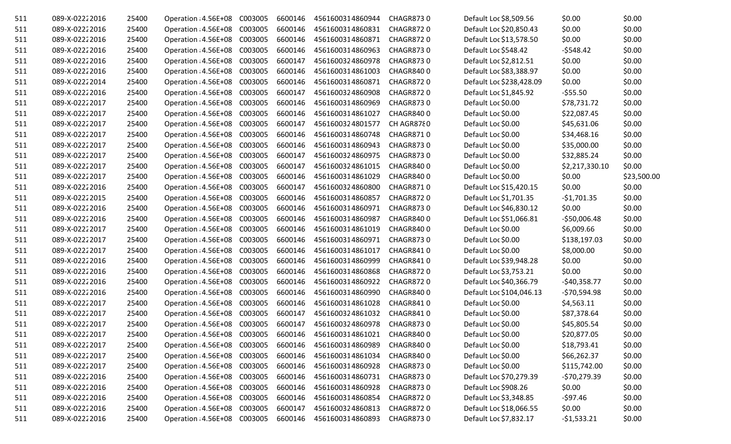| 511 | 089-X-02222016 | 25400 | Operation : 4.56E+08         | C003005 | 6600146 | 4561600314860944 | CHAGR8730        | Default Loc \$8,509.56   | \$0.00         | \$0.00      |
|-----|----------------|-------|------------------------------|---------|---------|------------------|------------------|--------------------------|----------------|-------------|
| 511 | 089-X-02222016 | 25400 | Operation : 4.56E+08         | C003005 | 6600146 | 4561600314860831 | <b>CHAGR8720</b> | Default Loc \$20,850.43  | \$0.00         | \$0.00      |
| 511 | 089-X-02222016 | 25400 | Operation : 4.56E+08         | C003005 | 6600146 | 4561600314860871 | CHAGR8720        | Default Loc \$13,578.50  | \$0.00         | \$0.00      |
| 511 | 089-X-02222016 | 25400 | Operation : 4.56E+08         | C003005 | 6600146 | 4561600314860963 | <b>CHAGR8730</b> | Default Loc \$548.42     | $-5548.42$     | \$0.00      |
| 511 | 089-X-02222016 | 25400 | Operation : 4.56E+08         | C003005 | 6600147 | 4561600324860978 | <b>CHAGR8730</b> | Default Loc \$2,812.51   | \$0.00         | \$0.00      |
| 511 | 089-X-02222016 | 25400 | Operation : 4.56E+08 C003005 |         | 6600146 | 4561600314861003 | <b>CHAGR8400</b> | Default Loc \$83,388.97  | \$0.00         | \$0.00      |
| 511 | 089-X-02222014 | 25400 | Operation : 4.56E+08         | C003005 | 6600146 | 4561600314860871 | <b>CHAGR8720</b> | Default Loc \$238,428.09 | \$0.00         | \$0.00      |
| 511 | 089-X-02222016 | 25400 | Operation : 4.56E+08         | C003005 | 6600147 | 4561600324860908 | CHAGR8720        | Default Loc \$1,845.92   | $-555.50$      | \$0.00      |
| 511 | 089-X-02222017 | 25400 | Operation : 4.56E+08         | C003005 | 6600146 | 4561600314860969 | <b>CHAGR8730</b> | Default Loc \$0.00       | \$78,731.72    | \$0.00      |
| 511 | 089-X-02222017 | 25400 | Operation : 4.56E+08         | C003005 | 6600146 | 4561600314861027 | CHAGR8400        | Default Loc \$0.00       | \$22,087.45    | \$0.00      |
| 511 | 089-X-02222017 | 25400 | Operation : 4.56E+08         | C003005 | 6600147 | 4561600324801577 | CH AGR8780       | Default Loc \$0.00       | \$45,631.06    | \$0.00      |
| 511 | 089-X-02222017 | 25400 | Operation : 4.56E+08 C003005 |         | 6600146 | 4561600314860748 | <b>CHAGR8710</b> | Default Loc \$0.00       | \$34,468.16    | \$0.00      |
| 511 | 089-X-02222017 | 25400 | Operation : 4.56E+08         | C003005 | 6600146 | 4561600314860943 | CHAGR8730        | Default Loc \$0.00       | \$35,000.00    | \$0.00      |
| 511 | 089-X-02222017 | 25400 | Operation : 4.56E+08         | C003005 | 6600147 | 4561600324860975 | <b>CHAGR8730</b> | Default Loc \$0.00       | \$32,885.24    | \$0.00      |
| 511 | 089-X-02222017 | 25400 | Operation : 4.56E+08         | C003005 | 6600147 | 4561600324861015 | CHAGR8400        | Default Loc \$0.00       | \$2,217,330.10 | \$0.00      |
| 511 | 089-X-02222017 | 25400 | Operation : 4.56E+08         | C003005 | 6600146 | 4561600314861029 | <b>CHAGR8400</b> | Default Loc \$0.00       | \$0.00         | \$23,500.00 |
| 511 | 089-X-02222016 | 25400 | Operation : 4.56E+08         | C003005 | 6600147 | 4561600324860800 | <b>CHAGR8710</b> | Default Loc \$15,420.15  | \$0.00         | \$0.00      |
| 511 | 089-X-02222015 | 25400 | Operation : 4.56E+08         | C003005 | 6600146 | 4561600314860857 | <b>CHAGR8720</b> | Default Loc \$1,701.35   | $-$1,701.35$   | \$0.00      |
| 511 | 089-X-02222016 | 25400 | Operation : 4.56E+08 C003005 |         | 6600146 | 4561600314860971 | <b>CHAGR8730</b> | Default Loc \$46,830.12  | \$0.00         | \$0.00      |
| 511 | 089-X-02222016 | 25400 | Operation : 4.56E+08         | C003005 | 6600146 | 4561600314860987 | <b>CHAGR8400</b> | Default Loc \$51,066.81  | $-550,006.48$  | \$0.00      |
| 511 | 089-X-02222017 | 25400 | Operation : 4.56E+08         | C003005 | 6600146 | 4561600314861019 | CHAGR8400        | Default Loc \$0.00       | \$6,009.66     | \$0.00      |
| 511 | 089-X-02222017 | 25400 | Operation : 4.56E+08         | C003005 | 6600146 | 4561600314860971 | CHAGR8730        | Default Loc \$0.00       | \$138,197.03   | \$0.00      |
| 511 | 089-X-02222017 | 25400 | Operation : 4.56E+08         | C003005 | 6600146 | 4561600314861017 | CHAGR8410        | Default Loc \$0.00       | \$8,000.00     | \$0.00      |
| 511 | 089-X-02222016 | 25400 | Operation : 4.56E+08         | C003005 | 6600146 | 4561600314860999 | CHAGR8410        | Default Loc \$39,948.28  | \$0.00         | \$0.00      |
| 511 | 089-X-02222016 | 25400 | Operation : 4.56E+08         | C003005 | 6600146 | 4561600314860868 | CHAGR8720        | Default Loc \$3,753.21   | \$0.00         | \$0.00      |
| 511 | 089-X-02222016 | 25400 | Operation : 4.56E+08         | C003005 | 6600146 | 4561600314860922 | <b>CHAGR8720</b> | Default Loc \$40,366.79  | $-$40,358.77$  | \$0.00      |
| 511 | 089-X-02222016 | 25400 | Operation : 4.56E+08         | C003005 | 6600146 | 4561600314860990 | CHAGR8400        | Default Loc \$104,046.13 | $-570,594.98$  | \$0.00      |
| 511 | 089-X-02222017 | 25400 | Operation : 4.56E+08         | C003005 | 6600146 | 4561600314861028 | CHAGR8410        | Default Loc \$0.00       | \$4,563.11     | \$0.00      |
| 511 | 089-X-02222017 | 25400 | Operation : 4.56E+08         | C003005 | 6600147 | 4561600324861032 | CHAGR8410        | Default Loc \$0.00       | \$87,378.64    | \$0.00      |
| 511 | 089-X-02222017 | 25400 | Operation : 4.56E+08         | C003005 | 6600147 | 4561600324860978 | <b>CHAGR8730</b> | Default Loc \$0.00       | \$45,805.54    | \$0.00      |
| 511 | 089-X-02222017 | 25400 | Operation : 4.56E+08 C003005 |         | 6600146 | 4561600314861021 | <b>CHAGR8400</b> | Default Loc \$0.00       | \$20,877.05    | \$0.00      |
| 511 | 089-X-02222017 | 25400 | Operation : 4.56E+08 C003005 |         | 6600146 | 4561600314860989 | <b>CHAGR8400</b> | Default Loc \$0.00       | \$18,793.41    | \$0.00      |
| 511 | 089-X-02222017 | 25400 | Operation : 4.56E+08 C003005 |         | 6600146 | 4561600314861034 | CHAGR8400        | Default Loc \$0.00       | \$66,262.37    | \$0.00      |
| 511 | 089-X-02222017 | 25400 | Operation : 4.56E+08 C003005 |         | 6600146 | 4561600314860928 | CHAGR8730        | Default Loc \$0.00       | \$115,742.00   | \$0.00      |
| 511 | 089-X-02222016 | 25400 | Operation : 4.56E+08 C003005 |         | 6600146 | 4561600314860731 | <b>CHAGR8730</b> | Default Loc \$70,279.39  | $-570,279.39$  | \$0.00      |
| 511 | 089-X-02222016 | 25400 | Operation : 4.56E+08 C003005 |         | 6600146 | 4561600314860928 | CHAGR8730        | Default Loc \$908.26     | \$0.00         | \$0.00      |
| 511 | 089-X-02222016 | 25400 | Operation : 4.56E+08 C003005 |         | 6600146 | 4561600314860854 | <b>CHAGR8720</b> | Default Loc \$3,348.85   | $-597.46$      | \$0.00      |
| 511 | 089-X-02222016 | 25400 | Operation : 4.56E+08 C003005 |         | 6600147 | 4561600324860813 | <b>CHAGR8720</b> | Default Loc \$18,066.55  | \$0.00         | \$0.00      |
| 511 | 089-X-02222016 | 25400 | Operation : 4.56E+08 C003005 |         | 6600146 | 4561600314860893 | CHAGR8730        | Default Loc \$7,832.17   | $-51,533.21$   | \$0.00      |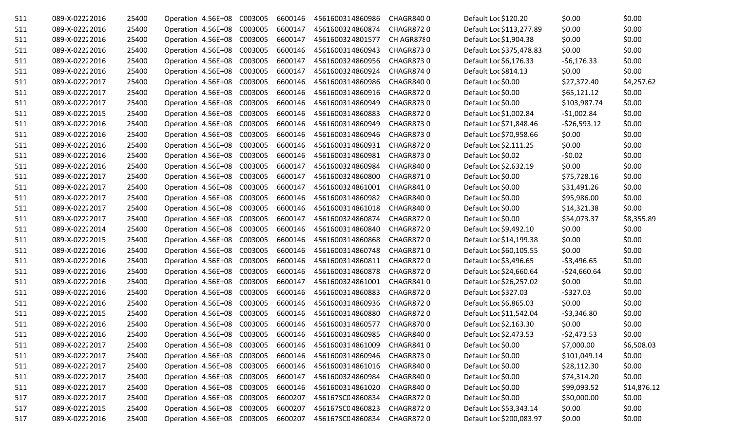| 511 | 089-X-02222016 | 25400 | Operation : 4.56E+08 C003005 | 6600146 | 4561600314860986 | <b>CHAGR8400</b> | Default Loc \$120.20     | \$0.00        | \$0.00      |
|-----|----------------|-------|------------------------------|---------|------------------|------------------|--------------------------|---------------|-------------|
| 511 | 089-X-02222016 | 25400 | Operation : 4.56E+08 C003005 | 6600147 | 4561600324860874 | <b>CHAGR8720</b> | Default Loc \$113,277.89 | \$0.00        | \$0.00      |
| 511 | 089-X-02222016 | 25400 | Operation : 4.56E+08 C003005 | 6600147 | 4561600324801577 | CH AGR8780       | Default Loc \$1,904.38   | \$0.00        | \$0.00      |
| 511 | 089-X-02222016 | 25400 | Operation : 4.56E+08 C003005 | 6600146 | 4561600314860943 | <b>CHAGR8730</b> | Default Loc \$375,478.83 | \$0.00        | \$0.00      |
| 511 | 089-X-02222016 | 25400 | Operation : 4.56E+08 C003005 | 6600147 | 4561600324860956 | <b>CHAGR8730</b> | Default Loc \$6,176.33   | $-56,176.33$  | \$0.00      |
| 511 | 089-X-02222016 | 25400 | Operation : 4.56E+08 C003005 | 6600147 | 4561600324860924 | <b>CHAGR8740</b> | Default Loc \$814.13     | \$0.00        | \$0.00      |
| 511 | 089-X-02222017 | 25400 | Operation : 4.56E+08 C003005 | 6600146 | 4561600314860986 | <b>CHAGR8400</b> | Default Loc \$0.00       | \$27,372.40   | \$4,257.62  |
| 511 | 089-X-02222017 | 25400 | Operation : 4.56E+08 C003005 | 6600146 | 4561600314860916 | <b>CHAGR8720</b> | Default Loc \$0.00       | \$65,121.12   | \$0.00      |
| 511 | 089-X-02222017 | 25400 | Operation : 4.56E+08 C003005 | 6600146 | 4561600314860949 | <b>CHAGR8730</b> | Default Loc \$0.00       | \$103,987.74  | \$0.00      |
| 511 | 089-X-02222015 | 25400 | Operation : 4.56E+08 C003005 | 6600146 | 4561600314860883 | <b>CHAGR8720</b> | Default Loc \$1,002.84   | $-$1,002.84$  | \$0.00      |
| 511 | 089-X-02222016 | 25400 | Operation : 4.56E+08 C003005 | 6600146 | 4561600314860949 | <b>CHAGR8730</b> | Default Loc \$71,848.46  | $-526,593.12$ | \$0.00      |
| 511 | 089-X-02222016 | 25400 | Operation : 4.56E+08 C003005 | 6600146 | 4561600314860946 | <b>CHAGR8730</b> | Default Loc \$70,958.66  | \$0.00        | \$0.00      |
| 511 | 089-X-02222016 | 25400 | Operation : 4.56E+08 C003005 | 6600146 | 4561600314860931 | <b>CHAGR8720</b> | Default Loc \$2,111.25   | \$0.00        | \$0.00      |
| 511 | 089-X-02222016 | 25400 | Operation : 4.56E+08 C003005 | 6600146 | 4561600314860981 | <b>CHAGR8730</b> | Default Loc \$0.02       | $-50.02$      | \$0.00      |
| 511 | 089-X-02222016 | 25400 | Operation : 4.56E+08 C003005 | 6600147 | 4561600324860984 | <b>CHAGR8400</b> | Default Loc \$2,632.19   | \$0.00        | \$0.00      |
| 511 | 089-X-02222017 | 25400 | Operation : 4.56E+08 C003005 | 6600147 | 4561600324860800 | <b>CHAGR8710</b> | Default Loc \$0.00       | \$75,728.16   | \$0.00      |
| 511 | 089-X-02222017 | 25400 | Operation : 4.56E+08 C003005 | 6600147 | 4561600324861001 | CHAGR8410        | Default Loc \$0.00       | \$31,491.26   | \$0.00      |
| 511 | 089-X-02222017 | 25400 | Operation : 4.56E+08 C003005 | 6600146 | 4561600314860982 | <b>CHAGR8400</b> | Default Loc \$0.00       | \$95,986.00   | \$0.00      |
| 511 | 089-X-02222017 | 25400 | Operation : 4.56E+08 C003005 | 6600146 | 4561600314861018 | <b>CHAGR8400</b> | Default Loc \$0.00       | \$14,321.38   | \$0.00      |
| 511 | 089-X-02222017 | 25400 | Operation : 4.56E+08 C003005 | 6600147 | 4561600324860874 | <b>CHAGR8720</b> | Default Loc \$0.00       | \$54,073.37   | \$8,355.89  |
| 511 | 089-X-02222014 | 25400 | Operation : 4.56E+08 C003005 | 6600146 | 4561600314860840 | <b>CHAGR8720</b> | Default Loc \$9,492.10   | \$0.00        | \$0.00      |
| 511 | 089-X-02222015 | 25400 | Operation : 4.56E+08 C003005 | 6600146 | 4561600314860868 | CHAGR8720        | Default Loc \$14,199.38  | \$0.00        | \$0.00      |
| 511 | 089-X-02222016 | 25400 | Operation : 4.56E+08 C003005 | 6600146 | 4561600314860748 | <b>CHAGR8710</b> | Default Loc \$60,105.55  | \$0.00        | \$0.00      |
| 511 | 089-X-02222016 | 25400 | Operation : 4.56E+08 C003005 | 6600146 | 4561600314860811 | CHAGR8720        | Default Loc \$3,496.65   | $-53,496.65$  | \$0.00      |
| 511 | 089-X-02222016 | 25400 | Operation : 4.56E+08 C003005 | 6600146 | 4561600314860878 | <b>CHAGR8720</b> | Default Loc \$24,660.64  | $-524,660.64$ | \$0.00      |
| 511 | 089-X-02222016 | 25400 | Operation : 4.56E+08 C003005 | 6600147 | 4561600324861001 | CHAGR8410        | Default Loc \$26,257.02  | \$0.00        | \$0.00      |
| 511 | 089-X-02222016 | 25400 | Operation : 4.56E+08 C003005 | 6600146 | 4561600314860883 | <b>CHAGR8720</b> | Default Loc \$327.03     | $-5327.03$    | \$0.00      |
| 511 | 089-X-02222016 | 25400 | Operation : 4.56E+08 C003005 | 6600146 | 4561600314860936 | <b>CHAGR8720</b> | Default Loc \$6,865.03   | \$0.00        | \$0.00      |
| 511 | 089-X-02222015 | 25400 | Operation : 4.56E+08 C003005 | 6600146 | 4561600314860880 | CHAGR8720        | Default Loc \$11,542.04  | $-53,346.80$  | \$0.00      |
| 511 | 089-X-02222016 | 25400 | Operation : 4.56E+08 C003005 | 6600146 | 4561600314860577 | <b>CHAGR8700</b> | Default Loc \$2,163.30   | \$0.00        | \$0.00      |
| 511 | 089-X-02222016 | 25400 | Operation : 4.56E+08 C003005 | 6600146 | 4561600314860985 | CHAGR8400        | Default Loc \$2,473.53   | $-52,473.53$  | \$0.00      |
| 511 | 089-X-02222017 | 25400 | Operation : 4.56E+08 C003005 | 6600146 | 4561600314861009 | CHAGR8410        | Default Loc \$0.00       | \$7,000.00    | \$6,508.03  |
| 511 | 089-X-02222017 | 25400 | Operation : 4.56E+08 C003005 | 6600146 | 4561600314860946 | <b>CHAGR8730</b> | Default Loc \$0.00       | \$101,049.14  | \$0.00      |
| 511 | 089-X-02222017 | 25400 | Operation : 4.56E+08 C003005 | 6600146 | 4561600314861016 | CHAGR8400        | Default Loc \$0.00       | \$28,112.30   | \$0.00      |
| 511 | 089-X-02222017 | 25400 | Operation : 4.56E+08 C003005 | 6600147 | 4561600324860984 | <b>CHAGR8400</b> | Default Loc \$0.00       | \$74,314.20   | \$0.00      |
| 511 | 089-X-02222017 | 25400 | Operation : 4.56E+08 C003005 | 6600146 | 4561600314861020 | CHAGR8400        | Default Loc \$0.00       | \$99,093.52   | \$14,876.12 |
| 517 | 089-X-02222017 | 25400 | Operation : 4.56E+08 C003005 | 6600207 | 456167SC04860834 | <b>CHAGR8720</b> | Default Loc \$0.00       | \$50,000.00   | \$0.00      |
| 517 | 089-X-02222015 | 25400 | Operation : 4.56E+08 C003005 | 6600207 | 456167SC04860823 | CHAGR8720        | Default Loc \$53,343.14  | \$0.00        | \$0.00      |
| 517 | 089-X-02222016 | 25400 | Operation : 4.56E+08 C003005 | 6600207 | 456167SC04860834 | CHAGR8720        | Default Loc \$200,083.97 | \$0.00        | \$0.00      |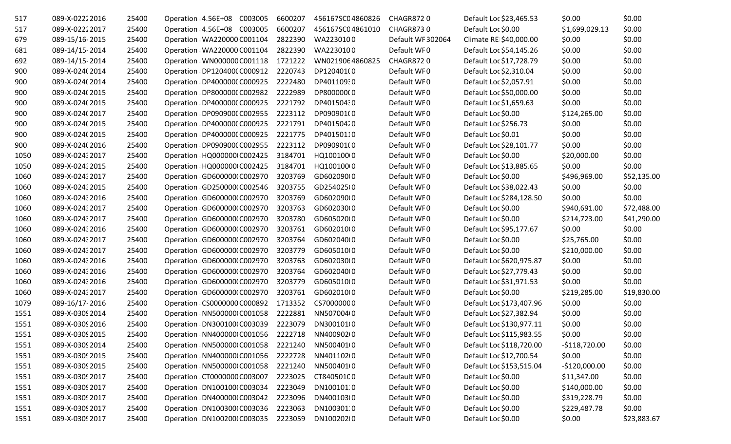| 517  | 089-X-02222016  | 25400 | Operation : 4.56E+08 C003005  | 6600207 | 456167SC04860826 | <b>CHAGR8720</b>  | Default Loc \$23,465.53  | \$0.00         | \$0.00      |
|------|-----------------|-------|-------------------------------|---------|------------------|-------------------|--------------------------|----------------|-------------|
| 517  | 089-X-02222017  | 25400 | Operation : 4.56E+08 C003005  | 6600207 | 456167SC04861010 | <b>CHAGR8730</b>  | Default Loc \$0.00       | \$1,699,029.13 | \$0.00      |
| 679  | 089-15/16-2015  | 25400 | Operation : WA220000 C001104  | 2822390 | WA2230100        | Default WF 302064 | Climate REI\$40,000.00   | \$0.00         | \$0.00      |
| 681  | 089-14/15-2014  | 25400 | Operation : WA220000 C001104  | 2822390 | WA2230100        | Default WF0       | Default Loc \$54,145.26  | \$0.00         | \$0.00      |
| 692  | 089-14/15-2014  | 25400 | Operation: WN00000CC001118    | 1721222 | WN0219064860825  | CHAGR8720         | Default Loc \$17,728.79  | \$0.00         | \$0.00      |
| 900  | 089-X-024(2014  | 25400 | Operation : DP120400(C000912  | 2220743 | DP120401(0       | Default WF0       | Default Loc \$2,310.04   | \$0.00         | \$0.00      |
| 900  | 089-X-024(2014  | 25400 | Operation : DP400000(C000925  | 2222480 | DP401109:0       | Default WF0       | Default Loc \$2,057.91   | \$0.00         | \$0.00      |
| 900  | 089-X-024(2015  | 25400 | Operation : DP800000(C002982  | 2222989 | DP800000(0       | Default WF0       | Default Loc \$50,000.00  | \$0.00         | \$0.00      |
| 900  | 089-X-024(2015  | 25400 | Operation : DP400000(C000925  | 2221792 | DP40150430       | Default WF0       | Default Loc \$1,659.63   | \$0.00         | \$0.00      |
| 900  | 089-X-024(2017  | 25400 | Operation : DP090900(C002955  | 2223112 | DP090901(0       | Default WF0       | Default Loc \$0.00       | \$124,265.00   | \$0.00      |
| 900  | 089-X-024(2015  | 25400 | Operation : DP400000(C000925  | 2221791 | DP40150420       | Default WF0       | Default Loc \$256.73     | \$0.00         | \$0.00      |
| 900  | 089-X-024(2015  | 25400 | Operation : DP400000(C000925  | 2221775 | DP40150110       | Default WF0       | Default Loc \$0.01       | \$0.00         | \$0.00      |
| 900  | 089-X-024(2016  | 25400 | Operation : DP090900(C002955  | 2223112 | DP090901(0       | Default WF0       | Default Loc \$28,101.77  | \$0.00         | \$0.00      |
| 1050 | 089-X-02432017  | 25400 | Operation : HQ000000 C002425  | 3184701 | HQ100100 0       | Default WF0       | Default Loc \$0.00       | \$20,000.00    | \$0.00      |
| 1050 | 089-X-02432015  | 25400 | Operation : HQ000000 C002425  | 3184701 | HQ100100(0       | Default WF0       | Default Loc \$13,885.65  | \$0.00         | \$0.00      |
| 1060 | 089-X-02432017  | 25400 | Operation : GD600000 C002970  | 3203769 | GD602090(0       | Default WF0       | Default Loc \$0.00       | \$496,969.00   | \$52,135.00 |
| 1060 | 089-X-02432015  | 25400 | Operation : GD250000 C002546  | 3203755 | GD254025(0       | Default WF0       | Default Loc \$38,022.43  | \$0.00         | \$0.00      |
| 1060 | 089-X-02432016  | 25400 | Operation : GD600000 C002970  | 3203769 | GD602090(0       | Default WF0       | Default Loc \$284,128.50 | \$0.00         | \$0.00      |
| 1060 | 089-X-02432017  | 25400 | Operation : GD600000 C002970  | 3203763 | GD602030(0       | Default WF0       | Default Loc \$0.00       | \$940,691.00   | \$72,488.00 |
| 1060 | 089-X-02432017  | 25400 | Operation : GD600000 C002970  | 3203780 | GD605020(0       | Default WF0       | Default Loc \$0.00       | \$214,723.00   | \$41,290.00 |
| 1060 | 089-X-02432016  | 25400 | Operation : GD600000 C002970  | 3203761 | GD602010(0       | Default WF0       | Default Loc \$95,177.67  | \$0.00         | \$0.00      |
| 1060 | 089-X-02432017  | 25400 | Operation : GD600000 C002970  | 3203764 | GD602040(0       | Default WF0       | Default Loc \$0.00       | \$25,765.00    | \$0.00      |
| 1060 | 089-X-02432017  | 25400 | Operation : GD600000 C002970  | 3203779 | GD605010(0       | Default WF0       | Default Loc \$0.00       | \$210,000.00   | \$0.00      |
| 1060 | 089-X-02432016  | 25400 | Operation : GD600000 C002970  | 3203763 | GD602030(0       | Default WF0       | Default Loc \$620,975.87 | \$0.00         | \$0.00      |
| 1060 | 089-X-02432016  | 25400 | Operation : GD600000 C002970  | 3203764 | GD602040(0       | Default WF0       | Default Loc \$27,779.43  | \$0.00         | \$0.00      |
| 1060 | 089-X-02432016  | 25400 | Operation : GD600000 C002970  | 3203779 | GD605010(0       | Default WF0       | Default Loc \$31,971.53  | \$0.00         | \$0.00      |
| 1060 | 089-X-02432017  | 25400 | Operation : GD600000 C002970  | 3203761 | GD602010(0       | Default WF0       | Default Loc \$0.00       | \$219,285.00   | \$19,830.00 |
| 1079 | 089-16/17-2016  | 25400 | Operation : CS0000000 C000892 | 1713352 | CS70000000       | Default WF0       | Default Loc \$173,407.96 | \$0.00         | \$0.00      |
| 1551 | 089-X-0309 2014 | 25400 | Operation : NN500000 C001058  | 2222881 | NN507004(0       | Default WF0       | Default Loc \$27,382.94  | \$0.00         | \$0.00      |
| 1551 | 089-X-03092016  | 25400 | Operation : DN300100 C003039  | 2223079 | DN300101(0       | Default WF0       | Default Loc \$130,977.11 | \$0.00         | \$0.00      |
| 1551 | 089-X-0309 2015 | 25400 | Operation : NN400000 C001056  | 2222718 | NN400902(0       | Default WF0       | Default Loc \$115,983.55 | \$0.00         | \$0.00      |
| 1551 | 089-X-0309 2014 | 25400 | Operation : NN500000 C001058  | 2221240 | NN500401(0       | Default WF0       | Default Loc \$118,720.00 | $-$118,720.00$ | \$0.00      |
| 1551 | 089-X-0309 2015 | 25400 | Operation : NN400000 C001056  | 2222728 | NN40110210       | Default WF0       | Default Loc \$12,700.54  | \$0.00         | \$0.00      |
| 1551 | 089-X-03092015  | 25400 | Operation : NN500000 C001058  | 2221240 | NN500401(0       | Default WF0       | Default Loc \$153,515.04 | $-$120,000.00$ | \$0.00      |
| 1551 | 089-X-0309 2017 | 25400 | Operation : CT000000C C003007 | 2223025 | CT840501C0       | Default WF0       | Default Loc \$0.00       | \$11,347.00    | \$0.00      |
| 1551 | 089-X-03092017  | 25400 | Operation : DN100100 C003034  | 2223049 | DN1001010        | Default WF0       | Default Loc \$0.00       | \$140,000.00   | \$0.00      |
| 1551 | 089-X-03092017  | 25400 | Operation : DN400000 C003042  | 2223096 | DN400103(0       | Default WF0       | Default Loc \$0.00       | \$319,228.79   | \$0.00      |
| 1551 | 089-X-0309 2017 | 25400 | Operation : DN100300 C003036  | 2223063 | DN100301 0       | Default WF0       | Default Loc \$0.00       | \$229,487.78   | \$0.00      |
| 1551 | 089-X-0309 2017 | 25400 | Operation : DN100200 C003035  | 2223059 | DN10020210       | Default WF0       | Default Loc \$0.00       | \$0.00         | \$23,883.67 |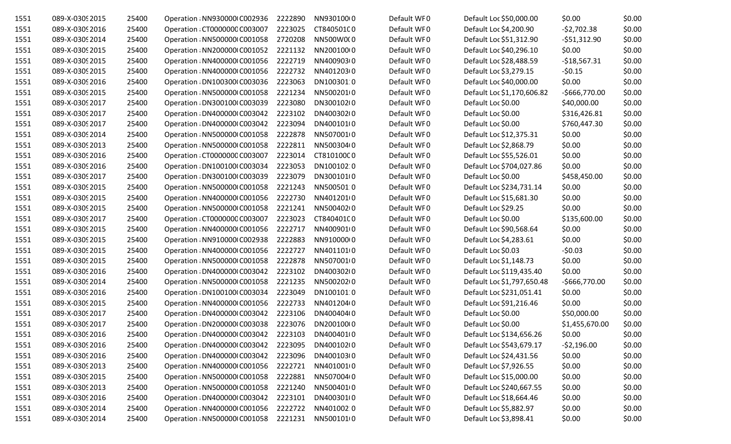| 1551 | 089-X-0309 2015 | 25400 | Operation : NN930000 C002936  | 2222890 | NN930100(0 | Default WF0 | Default Loc \$50,000.00    | \$0.00         | \$0.00 |
|------|-----------------|-------|-------------------------------|---------|------------|-------------|----------------------------|----------------|--------|
| 1551 | 089-X-0309 2016 | 25400 | Operation : CT000000C C003007 | 2223025 | CT840501C0 | Default WF0 | Default Loc \$4,200.90     | $-52,702.38$   | \$0.00 |
| 1551 | 089-X-0309 2014 | 25400 | Operation : NN500000 C001058  | 2720208 | NN500W0(0  | Default WF0 | Default Loc \$51,312.90    | $-551,312.90$  | \$0.00 |
| 1551 | 089-X-0309 2015 | 25400 | Operation : NN200000 C001052  | 2221132 | NN20010010 | Default WF0 | Default Loc \$40,296.10    | \$0.00         | \$0.00 |
| 1551 | 089-X-0309 2015 | 25400 | Operation : NN400000 C001056  | 2222719 | NN40090310 | Default WF0 | Default Loc \$28,488.59    | $-$18,567.31$  | \$0.00 |
| 1551 | 089-X-0309 2015 | 25400 | Operation : NN400000 C001056  | 2222732 | NN401203(0 | Default WF0 | Default Loc \$3,279.15     | $-50.15$       | \$0.00 |
| 1551 | 089-X-0309 2016 | 25400 | Operation : DN100300 C003036  | 2223063 | DN100301:0 | Default WF0 | Default Loc \$40,000.00    | \$0.00         | \$0.00 |
| 1551 | 089-X-0309 2015 | 25400 | Operation : NN500000 C001058  | 2221234 | NN5002010  | Default WF0 | Default Loc \$1,170,606.82 | $-5666,770.00$ | \$0.00 |
| 1551 | 089-X-0309 2017 | 25400 | Operation : DN300100 C003039  | 2223080 | DN300102(0 | Default WF0 | Default Loc \$0.00         | \$40,000.00    | \$0.00 |
| 1551 | 089-X-0309 2017 | 25400 | Operation: DN400000 C003042   | 2223102 | DN400302(0 | Default WF0 | Default Loc \$0.00         | \$316,426.81   | \$0.00 |
| 1551 | 089-X-0309 2017 | 25400 | Operation : DN400000 C003042  | 2223094 | DN400101(0 | Default WF0 | Default Loc \$0.00         | \$760,447.30   | \$0.00 |
| 1551 | 089-X-0309 2014 | 25400 | Operation : NN500000 C001058  | 2222878 | NN5070010  | Default WF0 | Default Loc \$12,375.31    | \$0.00         | \$0.00 |
| 1551 | 089-X-0309 2013 | 25400 | Operation : NN500000 C001058  | 2222811 | NN500304(0 | Default WF0 | Default Loc \$2,868.79     | \$0.00         | \$0.00 |
| 1551 | 089-X-0309 2016 | 25400 | Operation: CT000000C C003007  | 2223014 | CT810100C0 | Default WF0 | Default Loc \$55,526.01    | \$0.00         | \$0.00 |
| 1551 | 089-X-0309 2016 | 25400 | Operation : DN100100 C003034  | 2223053 | DN100102:0 | Default WF0 | Default Loc \$704,027.86   | \$0.00         | \$0.00 |
| 1551 | 089-X-0309 2017 | 25400 | Operation : DN300100 C003039  | 2223079 | DN300101(0 | Default WF0 | Default Loc \$0.00         | \$458,450.00   | \$0.00 |
| 1551 | 089-X-0309 2015 | 25400 | Operation : NN500000 C001058  | 2221243 | NN5005010  | Default WF0 | Default Loc \$234,731.14   | \$0.00         | \$0.00 |
| 1551 | 089-X-0309 2015 | 25400 | Operation : NN400000 C001056  | 2222730 | NN4012010  | Default WF0 | Default Loc \$15,681.30    | \$0.00         | \$0.00 |
| 1551 | 089-X-0309 2015 | 25400 | Operation : NN500000 C001058  | 2221241 | NN50040200 | Default WF0 | Default Loc \$29.25        | \$0.00         | \$0.00 |
| 1551 | 089-X-0309 2017 | 25400 | Operation : CT000000C C003007 | 2223023 | CT84040100 | Default WF0 | Default Loc \$0.00         | \$135,600.00   | \$0.00 |
| 1551 | 089-X-0309 2015 | 25400 | Operation : NN400000 C001056  | 2222717 | NN400901(0 | Default WF0 | Default Loc \$90,568.64    | \$0.00         | \$0.00 |
| 1551 | 089-X-0309 2015 | 25400 | Operation : NN910000 C002938  | 2222883 | NN91000010 | Default WF0 | Default Loc \$4,283.61     | \$0.00         | \$0.00 |
| 1551 | 089-X-0309 2015 | 25400 | Operation : NN400000 C001056  | 2222727 | NN4011010  | Default WF0 | Default Loc \$0.03         | $-50.03$       | \$0.00 |
| 1551 | 089-X-0309 2015 | 25400 | Operation : NN500000 C001058  | 2222878 | NN5070010  | Default WF0 | Default Loc \$1,148.73     | \$0.00         | \$0.00 |
| 1551 | 089-X-0309 2016 | 25400 | Operation : DN400000 C003042  | 2223102 | DN400302(0 | Default WF0 | Default Loc \$119,435.40   | \$0.00         | \$0.00 |
| 1551 | 089-X-0309 2014 | 25400 | Operation : NN500000 C001058  | 2221235 | NN50020210 | Default WF0 | Default Loc \$1,797,650.48 | $-5666,770.00$ | \$0.00 |
| 1551 | 089-X-0309 2016 | 25400 | Operation : DN100100 C003034  | 2223049 | DN1001010  | Default WF0 | Default Loc \$231,051.41   | \$0.00         | \$0.00 |
| 1551 | 089-X-0309 2015 | 25400 | Operation : NN400000 C001056  | 2222733 | NN401204(0 | Default WF0 | Default Loc \$91,216.46    | \$0.00         | \$0.00 |
| 1551 | 089-X-0309 2017 | 25400 | Operation : DN400000 C003042  | 2223106 | DN400404(0 | Default WF0 | Default Loc \$0.00         | \$50,000.00    | \$0.00 |
| 1551 | 089-X-0309 2017 | 25400 | Operation : DN200000 C003038  | 2223076 | DN200100(0 | Default WF0 | Default Loc \$0.00         | \$1,455,670.00 | \$0.00 |
| 1551 | 089-X-0309 2016 | 25400 | Operation : DN400000 C003042  | 2223103 | DN400401(0 | Default WF0 | Default Loc \$134,656.26   | \$0.00         | \$0.00 |
| 1551 | 089-X-0309 2016 | 25400 | Operation : DN400000 C003042  | 2223095 | DN400102(0 | Default WF0 | Default Loc \$543,679.17   | $-52,196.00$   | \$0.00 |
| 1551 | 089-X-0309 2016 | 25400 | Operation : DN400000 C003042  | 2223096 | DN400103(0 | Default WF0 | Default Loc \$24,431.56    | \$0.00         | \$0.00 |
| 1551 | 089-X-0309 2013 | 25400 | Operation : NN400000 C001056  | 2222721 | NN401001(0 | Default WF0 | Default Loc \$7,926.55     | \$0.00         | \$0.00 |
| 1551 | 089-X-0309 2015 | 25400 | Operation : NN500000 C001058  | 2222881 | NN507004(0 | Default WF0 | Default Loc \$15,000.00    | \$0.00         | \$0.00 |
| 1551 | 089-X-0309 2013 | 25400 | Operation : NN500000 C001058  | 2221240 | NN5004010  | Default WF0 | Default Loc \$240,667.55   | \$0.00         | \$0.00 |
| 1551 | 089-X-0309 2016 | 25400 | Operation : DN400000 C003042  | 2223101 | DN400301(0 | Default WF0 | Default Loc \$18,664.46    | \$0.00         | \$0.00 |
| 1551 | 089-X-0309 2014 | 25400 | Operation : NN400000 C001056  | 2222722 | NN401002 0 | Default WF0 | Default Loc \$5,882.97     | \$0.00         | \$0.00 |
| 1551 | 089-X-0309 2014 | 25400 | Operation : NN500000 C001058  | 2221231 | NN5001010  | Default WF0 | Default Loc \$3,898.41     | \$0.00         | \$0.00 |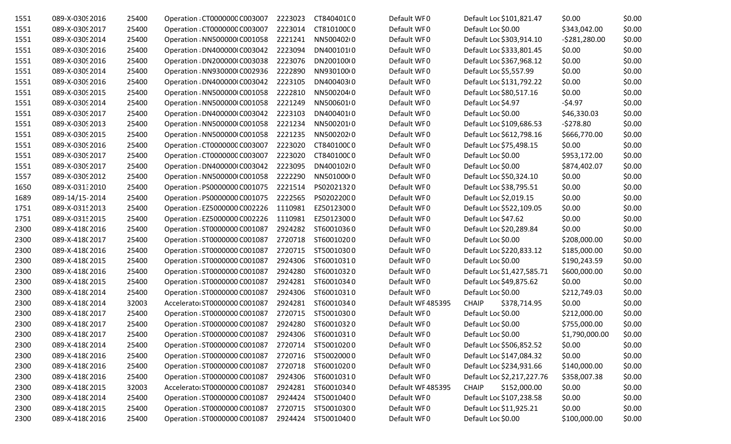| 1551 | 089-X-0309 2016 | 25400 | Operation: CT000000C C003007  | 2223023 | CT840401C0         | Default WF0      | Default Loc \$101,821.47     | \$0.00         | \$0.00 |
|------|-----------------|-------|-------------------------------|---------|--------------------|------------------|------------------------------|----------------|--------|
| 1551 | 089-X-0309 2017 | 25400 | Operation : CT000000C C003007 | 2223014 | CT810100C0         | Default WF0      | Default Loc \$0.00           | \$343,042.00   | \$0.00 |
| 1551 | 089-X-0309 2014 | 25400 | Operation : NN500000 C001058  | 2221241 | NN500402(0         | Default WF0      | Default Loc \$303,914.10     | $-5281,280.00$ | \$0.00 |
| 1551 | 089-X-0309 2016 | 25400 | Operation : DN400000 C003042  | 2223094 | DN400101(0         | Default WF0      | Default Loc \$333,801.45     | \$0.00         | \$0.00 |
| 1551 | 089-X-0309 2016 | 25400 | Operation : DN200000 C003038  | 2223076 | DN200100(0         | Default WF0      | Default Loc \$367,968.12     | \$0.00         | \$0.00 |
| 1551 | 089-X-0309 2014 | 25400 | Operation : NN930000 C002936  | 2222890 | NN930100(0         | Default WF0      | Default Loc \$5,557.99       | \$0.00         | \$0.00 |
| 1551 | 089-X-0309 2016 | 25400 | Operation : DN400000 C003042  | 2223105 | DN400403(0         | Default WF0      | Default Loc \$131,792.22     | \$0.00         | \$0.00 |
| 1551 | 089-X-0309 2015 | 25400 | Operation : NN500000 C001058  | 2222810 | NN500204(0         | Default WF0      | Default Loc \$80,517.16      | \$0.00         | \$0.00 |
| 1551 | 089-X-0309 2014 | 25400 | Operation : NN500000 C001058  | 2221249 | NN5006010          | Default WF0      | Default Loc \$4.97           | $-54.97$       | \$0.00 |
| 1551 | 089-X-0309 2017 | 25400 | Operation : DN400000 C003042  | 2223103 | DN400401(0         | Default WF0      | Default Loc \$0.00           | \$46,330.03    | \$0.00 |
| 1551 | 089-X-0309 2013 | 25400 | Operation : NN500000 C001058  | 2221234 | NN5002010          | Default WF0      | Default Loc \$109,686.53     | $-5278.80$     | \$0.00 |
| 1551 | 089-X-0309 2015 | 25400 | Operation : NN500000 C001058  | 2221235 | NN50020210         | Default WF0      | Default Loc \$612,798.16     | \$666,770.00   | \$0.00 |
| 1551 | 089-X-0309 2016 | 25400 | Operation : CT000000C C003007 | 2223020 | CT840100C0         | Default WF0      | Default Loc \$75,498.15      | \$0.00         | \$0.00 |
| 1551 | 089-X-0309 2017 | 25400 | Operation : CT000000C C003007 | 2223020 | CT840100C0         | Default WF0      | Default Loc \$0.00           | \$953,172.00   | \$0.00 |
| 1551 | 089-X-0309 2017 | 25400 | Operation : DN400000 C003042  | 2223095 | DN400102(0         | Default WF0      | Default Loc \$0.00           | \$874,402.07   | \$0.00 |
| 1557 | 089-X-0309 2012 | 25400 | Operation : NN500000 C001058  | 2222290 | NN50100010         | Default WF0      | Default Loc \$50,324.10      | \$0.00         | \$0.00 |
| 1650 | 089-X-03132010  | 25400 | Operation : PS0000000 C001075 | 2221514 | PS02021320         | Default WF0      | Default Loc \$38,795.51      | \$0.00         | \$0.00 |
| 1689 | 089-14/15-2014  | 25400 | Operation : PS0000000 C001075 | 2222565 | PS02022000         | Default WF0      | Default Loc \$2,019.15       | \$0.00         | \$0.00 |
| 1751 | 089-X-0315 2013 | 25400 | Operation: EZ5000000 C002226  | 1110981 | EZ50123000         | Default WF0      | Default Loc \$522,109.05     | \$0.00         | \$0.00 |
| 1751 | 089-X-0315 2015 | 25400 | Operation : EZ5000000 C002226 | 1110981 | EZ50123000         | Default WF0      | Default Loc \$47.62          | \$0.00         | \$0.00 |
| 2300 | 089-X-418(2016  | 25400 | Operation : ST0000000 C001087 | 2924282 | ST60010360         | Default WF0      | Default Loc \$20,289.84      | \$0.00         | \$0.00 |
| 2300 | 089-X-418(2017  | 25400 | Operation : ST0000000 C001087 | 2720718 | ST60010200         | Default WF0      | Default Loc \$0.00           | \$208,000.00   | \$0.00 |
| 2300 | 089-X-418(2016  | 25400 | Operation : ST0000000 C001087 | 2720715 | ST50010300         | Default WF0      | Default Loc \$220,833.12     | \$185,000.00   | \$0.00 |
| 2300 | 089-X-418(2015  | 25400 | Operation : ST0000000 C001087 | 2924306 | ST60010310         | Default WF0      | Default Loc \$0.00           | \$190,243.59   | \$0.00 |
| 2300 | 089-X-418(2016  | 25400 | Operation : ST0000000 C001087 | 2924280 | ST60010320         | Default WF0      | Default Loc \$1,427,585.71   | \$600,000.00   | \$0.00 |
| 2300 | 089-X-418(2015  | 25400 | Operation : ST0000000 C001087 | 2924281 | ST60010340         | Default WF0      | Default Loc \$49,875.62      | \$0.00         | \$0.00 |
| 2300 | 089-X-418(2014  | 25400 | Operation : ST0000000 C001087 | 2924306 | ST60010310         | Default WF0      | Default Loc \$0.00           | \$212,749.03   | \$0.00 |
| 2300 | 089-X-418(2014  | 32003 | Accelerator ST0000000 C001087 | 2924281 | ST60010340         | Default WF485395 | <b>CHAIP</b><br>\$378,714.95 | \$0.00         | \$0.00 |
| 2300 | 089-X-418(2017  | 25400 | Operation : ST0000000 C001087 | 2720715 | ST50010300         | Default WF0      | Default Loc \$0.00           | \$212,000.00   | \$0.00 |
| 2300 | 089-X-418(2017  | 25400 | Operation : ST0000000 C001087 | 2924280 | ST60010320         | Default WF0      | Default Loc \$0.00           | \$755,000.00   | \$0.00 |
| 2300 | 089-X-418(2017  | 25400 | Operation : ST0000000 C001087 | 2924306 | ST60010310         | Default WF0      | Default Loc \$0.00           | \$1,790,000.00 | \$0.00 |
| 2300 | 089-X-418(2014  | 25400 | Operation : ST0000000 C001087 | 2720714 | ST50010200         | Default WF0      | Default Loc \$506,852.52     | \$0.00         | \$0.00 |
| 2300 | 089-X-418(2016  | 25400 | Operation : ST0000000 C001087 | 2720716 | ST50020000         | Default WF0      | Default Loc \$147,084.32     | \$0.00         | \$0.00 |
| 2300 | 089-X-418(2016  | 25400 | Operation : ST0000000 C001087 | 2720718 | ST60010200         | Default WF0      | Default Loc \$234,931.66     | \$140,000.00   | \$0.00 |
| 2300 | 089-X-418(2016  | 25400 | Operation : ST0000000 C001087 | 2924306 | ST60010310         | Default WF0      | Default Loc \$2,217,227.76   | \$358,007.38   | \$0.00 |
| 2300 | 089-X-418(2015  | 32003 | Accelerator ST0000000 C001087 | 2924281 | ST60010340         | Default WF485395 | <b>CHAIP</b><br>\$152,000.00 | \$0.00         | \$0.00 |
| 2300 | 089-X-418(2014  | 25400 | Operation : ST0000000 C001087 | 2924424 | ST50010400         | Default WF0      | Default Loc \$107,238.58     | \$0.00         | \$0.00 |
| 2300 | 089-X-418(2015  | 25400 | Operation : ST0000000 C001087 | 2720715 | ST50010300         | Default WF0      | Default Loc \$11,925.21      | \$0.00         | \$0.00 |
| 2300 | 089-X-418(2016  | 25400 | Operation : ST0000000 C001087 |         | 2924424 ST50010400 | Default WF0      | Default Loc \$0.00           | \$100,000.00   | \$0.00 |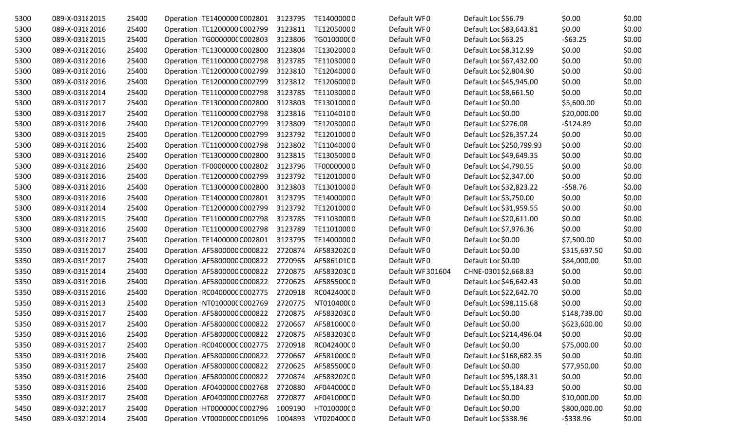| 5300 | 089-X-0318 2015 | 25400 | Operation : TE1400000 C002801 | 3123795 | TE14000000 | Default WF0       | Default Loc \$56.79      | \$0.00       | \$0.00 |
|------|-----------------|-------|-------------------------------|---------|------------|-------------------|--------------------------|--------------|--------|
| 5300 | 089-X-0318 2016 | 25400 | Operation : TE1200000 C002799 | 3123811 | TE12050000 | Default WF0       | Default Loc \$83,643.81  | \$0.00       | \$0.00 |
| 5300 | 089-X-0318 2015 | 25400 | Operation : TG0000000 C002803 | 3123806 | TG01000000 | Default WF0       | Default Loc \$63.25      | $-563.25$    | \$0.00 |
| 5300 | 089-X-03182016  | 25400 | Operation : TE1300000 C002800 | 3123804 | TE13020000 | Default WF0       | Default Loc \$8,312.99   | \$0.00       | \$0.00 |
| 5300 | 089-X-0318 2016 | 25400 | Operation : TE1100000 C002798 | 3123785 | TE11030000 | Default WF0       | Default Loc \$67,432.00  | \$0.00       | \$0.00 |
| 5300 | 089-X-0318 2016 | 25400 | Operation : TE1200000 C002799 | 3123810 | TE12040000 | Default WF0       | Default Loc \$2,804.90   | \$0.00       | \$0.00 |
| 5300 | 089-X-03182016  | 25400 | Operation : TE1200000 C002799 | 3123812 | TE12060000 | Default WF0       | Default Loc \$45,945.00  | \$0.00       | \$0.00 |
| 5300 | 089-X-0318 2014 | 25400 | Operation : TE1100000 C002798 | 3123785 | TE11030000 | Default WF0       | Default Loc \$8,661.50   | \$0.00       | \$0.00 |
| 5300 | 089-X-0318 2017 | 25400 | Operation : TE1300000 C002800 | 3123803 | TE13010000 | Default WF0       | Default Loc \$0.00       | \$5,600.00   | \$0.00 |
| 5300 | 089-X-0318 2017 | 25400 | Operation : TE1100000 C002798 | 3123816 | TE11040100 | Default WF0       | Default Loc \$0.00       | \$20,000.00  | \$0.00 |
| 5300 | 089-X-0318 2016 | 25400 | Operation : TE1200000 C002799 | 3123809 | TE12030000 | Default WF0       | Default Loc \$276.08     | $-$124.89$   | \$0.00 |
| 5300 | 089-X-0318 2015 | 25400 | Operation : TE1200000 C002799 | 3123792 | TE12010000 | Default WF0       | Default Loc \$26,357.24  | \$0.00       | \$0.00 |
| 5300 | 089-X-0318 2016 | 25400 | Operation : TE1100000 C002798 | 3123802 | TE11040000 | Default WF0       | Default Loc \$250,799.93 | \$0.00       | \$0.00 |
| 5300 | 089-X-0318 2016 | 25400 | Operation : TE1300000 C002800 | 3123815 | TE13050000 | Default WF0       | Default Loc \$49,649.35  | \$0.00       | \$0.00 |
| 5300 | 089-X-0318 2016 | 25400 | Operation : TF0000000 C002802 | 3123796 | TF00000000 | Default WF0       | Default Loc \$4,790.55   | \$0.00       | \$0.00 |
| 5300 | 089-X-0318 2016 | 25400 | Operation : TE1200000 C002799 | 3123792 | TE12010000 | Default WF0       | Default Loc \$2,347.00   | \$0.00       | \$0.00 |
| 5300 | 089-X-0318 2016 | 25400 | Operation : TE1300000 C002800 | 3123803 | TE13010000 | Default WF0       | Default Loc \$32,823.22  | $-558.76$    | \$0.00 |
| 5300 | 089-X-0318 2016 | 25400 | Operation : TE1400000 C002801 | 3123795 | TE14000000 | Default WF0       | Default Loc \$3,750.00   | \$0.00       | \$0.00 |
| 5300 | 089-X-0318 2014 | 25400 | Operation : TE1200000 C002799 | 3123792 | TE12010000 | Default WF0       | Default Loc \$31,959.55  | \$0.00       | \$0.00 |
| 5300 | 089-X-0318 2015 | 25400 | Operation : TE1100000 C002798 | 3123785 | TE11030000 | Default WF0       | Default Loc \$20,611.00  | \$0.00       | \$0.00 |
| 5300 | 089-X-03182016  | 25400 | Operation : TE1100000 C002798 | 3123789 | TE11010000 | Default WF0       | Default Loc \$7,976.36   | \$0.00       | \$0.00 |
| 5300 | 089-X-0318 2017 | 25400 | Operation : TE1400000 C002801 | 3123795 | TE14000000 | Default WF0       | Default Loc \$0.00       | \$7,500.00   | \$0.00 |
| 5350 | 089-X-0319 2017 | 25400 | Operation : AF580000C C000822 | 2720874 | AF58320200 | Default WF0       | Default Loc \$0.00       | \$315,697.50 | \$0.00 |
| 5350 | 089-X-0319 2017 | 25400 | Operation : AF580000C C000822 | 2720965 | AF586101C0 | Default WF0       | Default Loc \$0.00       | \$84,000.00  | \$0.00 |
| 5350 | 089-X-0319 2014 | 25400 | Operation : AF580000C C000822 | 2720875 | AF58320300 | Default WF 301604 | CHNE-0301\$2,668.83      | \$0.00       | \$0.00 |
| 5350 | 089-X-0319 2016 | 25400 | Operation : AF580000C C000822 | 2720625 | AF585500C0 | Default WF0       | Default Loc \$46,642.43  | \$0.00       | \$0.00 |
| 5350 | 089-X-0319 2016 | 25400 | Operation : RC040000C C002775 | 2720918 | RC04240000 | Default WF0       | Default Loc \$22,642.70  | \$0.00       | \$0.00 |
| 5350 | 089-X-0319 2013 | 25400 | Operation : NT010000(C002769  | 2720775 | NT01040000 | Default WF0       | Default Loc \$98,115.68  | \$0.00       | \$0.00 |
| 5350 | 089-X-0319 2017 | 25400 | Operation : AF580000C C000822 | 2720875 | AF58320300 | Default WF0       | Default Loc \$0.00       | \$148,739.00 | \$0.00 |
| 5350 | 089-X-0319 2017 | 25400 | Operation: AF580000C C000822  | 2720667 | AF581000C0 | Default WF0       | Default Loc \$0.00       | \$623,600.00 | \$0.00 |
| 5350 | 089-X-0319 2016 | 25400 | Operation : AF580000C C000822 | 2720875 | AF583203C0 | Default WF0       | Default Loc \$214,496.04 | \$0.00       | \$0.00 |
| 5350 | 089-X-0319 2017 | 25400 | Operation : RC040000C C002775 | 2720918 | RC04240000 | Default WF0       | Default Loc \$0.00       | \$75,000.00  | \$0.00 |
| 5350 | 089-X-0319 2016 | 25400 | Operation : AF580000C C000822 | 2720667 | AF581000C0 | Default WF0       | Default Loc \$168,682.35 | \$0.00       | \$0.00 |
| 5350 | 089-X-0319 2017 | 25400 | Operation : AF580000C C000822 | 2720625 | AF585500C0 | Default WF0       | Default Loc \$0.00       | \$77,950.00  | \$0.00 |
| 5350 | 089-X-0319 2016 | 25400 | Operation : AF580000C C000822 | 2720874 | AF58320200 | Default WF0       | Default Loc \$95,188.31  | \$0.00       | \$0.00 |
| 5350 | 089-X-0319 2016 | 25400 | Operation : AF040000C C002768 | 2720880 | AF044000C0 | Default WF0       | Default Loc \$5,184.83   | \$0.00       | \$0.00 |
| 5350 | 089-X-0319 2017 | 25400 | Operation : AF040000C C002768 | 2720877 | AF041000C0 | Default WF0       | Default Loc \$0.00       | \$10,000.00  | \$0.00 |
| 5450 | 089-X-03212017  | 25400 | Operation : HT0000000 C002796 | 1009190 | HT01000000 | Default WF0       | Default Loc \$0.00       | \$800,000.00 | \$0.00 |
| 5450 | 089-X-03212014  | 25400 | Operation : VT000000C C001096 | 1004893 | VT02040000 | Default WF0       | Default Loc \$338.96     | $-$ \$338.96 | \$0.00 |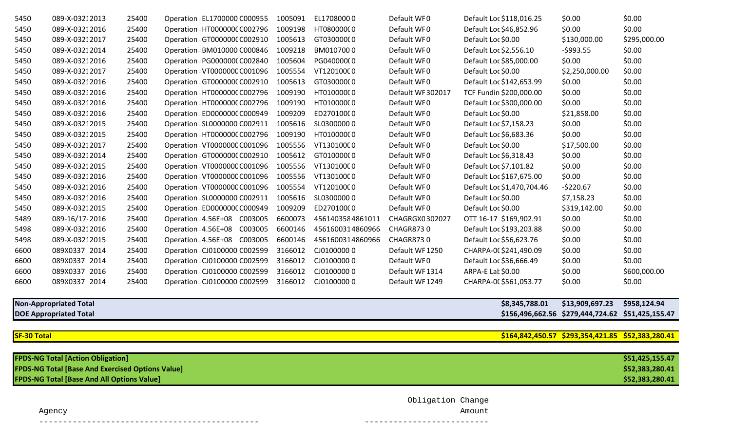| 5450 | 089-X-03212013 | 25400 | Operation : EL1700000 C000955 | 1005091 | EL17080000       | Default WF0       | Default Loc \$118,016.25   | \$0.00         | \$0.00       |
|------|----------------|-------|-------------------------------|---------|------------------|-------------------|----------------------------|----------------|--------------|
| 5450 | 089-X-03212016 | 25400 | Operation : HT0000000 C002796 | 1009198 | HT08000000       | Default WF0       | Default Loc \$46,852.96    | \$0.00         | \$0.00       |
| 5450 | 089-X-03212017 | 25400 | Operation : GT0000000 C002910 | 1005613 | GT03000000       | Default WF0       | Default Loc \$0.00         | \$130,000.00   | \$295,000.00 |
| 5450 | 089-X-03212014 | 25400 | Operation : BM010000 C000846  | 1009218 | BM0107000        | Default WF0       | Default Loc \$2,556.10     | $-$ \$993.55   | \$0.00       |
| 5450 | 089-X-03212016 | 25400 | Operation : PG0000000 C002840 | 1005604 | PG040000(0       | Default WF0       | Default Loc \$85,000.00    | \$0.00         | \$0.00       |
| 5450 | 089-X-03212017 | 25400 | Operation : VT000000C C001096 | 1005554 | VT12010000       | Default WF0       | Default Loc \$0.00         | \$2,250,000.00 | \$0.00       |
| 5450 | 089-X-03212016 | 25400 | Operation : GT0000000 C002910 | 1005613 | GT03000000       | Default WF0       | Default Loc \$142,653.99   | \$0.00         | \$0.00       |
| 5450 | 089-X-03212016 | 25400 | Operation : HT0000000 C002796 | 1009190 | HT01000000       | Default WF 302017 | TCF Fundin \$200,000.00    | \$0.00         | \$0.00       |
| 5450 | 089-X-03212016 | 25400 | Operation : HT0000000 C002796 | 1009190 | HT01000000       | Default WF0       | Default Loc \$300,000.00   | \$0.00         | \$0.00       |
| 5450 | 089-X-03212016 | 25400 | Operation : ED0000000 C000949 | 1009209 | ED270100(0       | Default WF0       | Default Loc \$0.00         | \$21,858.00    | \$0.00       |
| 5450 | 089-X-03212015 | 25400 | Operation : SL0000000 C002911 | 1005616 | SL03000000       | Default WF0       | Default Loc \$7,158.23     | \$0.00         | \$0.00       |
| 5450 | 089-X-03212015 | 25400 | Operation : HT0000000 C002796 | 1009190 | HT01000000       | Default WF0       | Default Loc \$6,683.36     | \$0.00         | \$0.00       |
| 5450 | 089-X-03212017 | 25400 | Operation : VT000000C C001096 | 1005556 | VT13010000       | Default WF0       | Default Loc \$0.00         | \$17,500.00    | \$0.00       |
| 5450 | 089-X-03212014 | 25400 | Operation : GT0000000 C002910 | 1005612 | GT01000000       | Default WF0       | Default Loc \$6,318.43     | \$0.00         | \$0.00       |
| 5450 | 089-X-03212015 | 25400 | Operation : VT000000C C001096 | 1005556 | VT13010000       | Default WF0       | Default Loc \$7,101.82     | \$0.00         | \$0.00       |
| 5450 | 089-X-03212016 | 25400 | Operation : VT000000C C001096 | 1005556 | VT13010000       | Default WF0       | Default Loc \$167,675.00   | \$0.00         | \$0.00       |
| 5450 | 089-X-03212016 | 25400 | Operation : VT000000C C001096 | 1005554 | VT12010000       | Default WF0       | Default Loc \$1,470,704.46 | $-5220.67$     | \$0.00       |
| 5450 | 089-X-03212016 | 25400 | Operation : SL0000000 C002911 | 1005616 | SL03000000       | Default WF0       | Default Loc \$0.00         | \$7,158.23     | \$0.00       |
| 5450 | 089-X-03212015 | 25400 | Operation : ED0000000 C000949 | 1009209 | ED270100(0       | Default WF0       | Default Loc \$0.00         | \$319,142.00   | \$0.00       |
| 5489 | 089-16/17-2016 | 25400 | Operation : 4.56E+08 C003005  | 6600073 | 4561403584861011 | CHAGRGX0302027    | OTT 16-17 \$169,902.91     | \$0.00         | \$0.00       |
| 5498 | 089-X-03212016 | 25400 | Operation : 4.56E+08 C003005  | 6600146 | 4561600314860966 | CHAGR8730         | Default Loc \$193,203.88   | \$0.00         | \$0.00       |
| 5498 | 089-X-03212015 | 25400 | Operation : 4.56E+08 C003005  | 6600146 | 4561600314860966 | <b>CHAGR8730</b>  | Default Loc \$56,623.76    | \$0.00         | \$0.00       |
| 6600 | 089X0337 2014  | 25400 | Operation : CJ0100000 C002599 | 3166012 | CJ01000000       | Default WF1250    | CHARPA-00 \$241,490.09     | \$0.00         | \$0.00       |
| 6600 | 089X0337 2014  | 25400 | Operation : CJ0100000 C002599 | 3166012 | CJ01000000       | Default WF0       | Default Loc \$36,666.49    | \$0.00         | \$0.00       |
| 6600 | 089X0337 2016  | 25400 | Operation : CJ0100000 C002599 | 3166012 | CJ01000000       | Default WF1314    | ARPA-E Lat \$0.00          | \$0.00         | \$600,000.00 |
| 6600 | 089X0337 2014  | 25400 | Operation : CJ0100000 C002599 | 3166012 | CJ01000000       | Default WF1249    | CHARPA-00 \$561,053.77     | \$0.00         | \$0.00       |
|      |                |       |                               |         |                  |                   |                            |                |              |

| <b>Non-Appropriated Total</b> | \$8,345,788.01 | \$13,909,697.23                                   | \$958,124.94 |
|-------------------------------|----------------|---------------------------------------------------|--------------|
| <b>DOE Appropriated Total</b> |                | \$156,496,662.56 \$279,444,724.62 \$51,425,155.47 |              |

## **SF-30 Total \$164,842,450.57 \$293,354,421.85 \$52,383,280.41**

| <b>FPDS-NG Total [Action Obligation]</b>                | \$51,425,155.47 |
|---------------------------------------------------------|-----------------|
| <b>FPDS-NG Total [Base And Exercised Options Value]</b> | \$52,383,280.41 |
| <b>FPDS-NG Total [Base And All Options Value]</b>       | \$52,383,280.41 |

Obligation Change

 Agency Amount ---------------------------------------------- --------------------------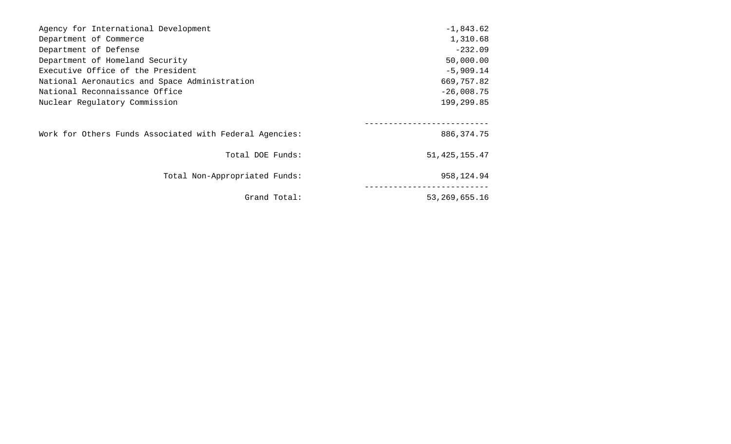| Agency for International Development                    | $-1,843.62$      |
|---------------------------------------------------------|------------------|
| Department of Commerce                                  | 1,310.68         |
| Department of Defense                                   | $-232.09$        |
| Department of Homeland Security                         | 50,000.00        |
| Executive Office of the President                       | $-5,909.14$      |
| National Aeronautics and Space Administration           | 669,757.82       |
| National Reconnaissance Office                          | $-26,008.75$     |
| Nuclear Regulatory Commission                           | 199,299.85       |
|                                                         |                  |
| Work for Others Funds Associated with Federal Agencies: | 886, 374. 75     |
| Total DOE Funds:                                        | 51, 425, 155. 47 |
| Total Non-Appropriated Funds:                           | 958,124.94       |
| Grand Total:                                            | 53, 269, 655. 16 |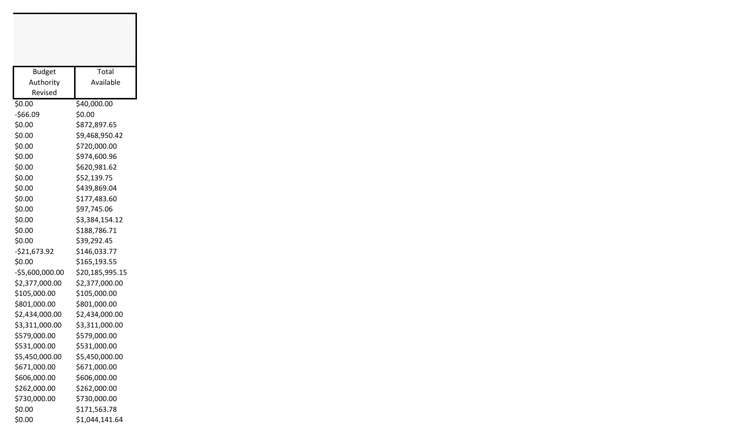| <b>Budget</b>   | Total           |
|-----------------|-----------------|
| Authority       | Available       |
| Revised         |                 |
| \$0.00          | \$40,000.00     |
| $-$66.09$       | \$0.00          |
| \$0.00          | \$872,897.65    |
| \$0.00          | \$9,468,950.42  |
| \$0.00          | \$720,000.00    |
| \$0.00          | \$974,600.96    |
| \$0.00          | \$620,981.62    |
| \$0.00          | \$52,139.75     |
| \$0.00          | \$439,869.04    |
| \$0.00          | \$177,483.60    |
| \$0.00          | \$97,745.06     |
| \$0.00          | \$3,384,154.12  |
| \$0.00          | \$188,786.71    |
| \$0.00          | \$39,292.45     |
| $-521,673.92$   | \$146,033.77    |
| \$0.00          | \$165,193.55    |
| -\$5,600,000.00 | \$20,185,995.15 |
| \$2,377,000.00  | \$2,377,000.00  |
| \$105,000.00    | \$105,000.00    |
| \$801,000.00    | \$801,000.00    |
| \$2,434,000.00  | \$2,434,000.00  |
| \$3,311,000.00  | \$3,311,000.00  |
| \$579,000.00    | \$579,000.00    |
| \$531,000.00    | \$531,000.00    |
| \$5,450,000.00  | \$5,450,000.00  |
| \$671,000.00    | \$671,000.00    |
| \$606,000.00    | \$606,000.00    |
| \$262,000.00    | \$262,000.00    |
| \$730,000.00    | \$730,000.00    |
| \$0.00          | \$171,563.78    |
| \$0.00          | \$1,044,141.64  |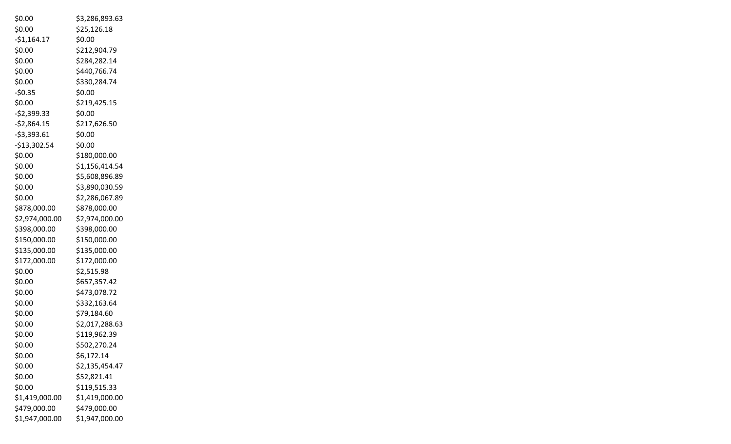| \$0.00         | \$3,286,893.63 |
|----------------|----------------|
| \$0.00         | \$25,126.18    |
| $-$1,164.17$   | \$0.00         |
| \$0.00         | \$212,904.79   |
| \$0.00         | \$284,282.14   |
| \$0.00         | \$440,766.74   |
| \$0.00         | \$330,284.74   |
| $-50.35$       | \$0.00         |
| \$0.00         | \$219,425.15   |
| $-52,399.33$   | \$0.00         |
| $-$2,864.15$   | \$217,626.50   |
| $-53,393.61$   | \$0.00         |
| $-$13,302.54$  | \$0.00         |
| \$0.00         | \$180,000.00   |
| \$0.00         | \$1,156,414.54 |
| \$0.00         | \$5,608,896.89 |
| \$0.00         | \$3,890,030.59 |
| \$0.00         | \$2,286,067.89 |
| \$878,000.00   | \$878,000.00   |
| \$2,974,000.00 | \$2,974,000.00 |
| \$398,000.00   | \$398,000.00   |
| \$150,000.00   | \$150,000.00   |
| \$135,000.00   | \$135,000.00   |
| \$172,000.00   | \$172,000.00   |
| \$0.00         | \$2,515.98     |
| \$0.00         | \$657,357.42   |
| \$0.00         | \$473,078.72   |
| \$0.00         | \$332,163.64   |
| \$0.00         | \$79,184.60    |
| \$0.00         | \$2,017,288.63 |
| \$0.00         | \$119,962.39   |
| \$0.00         | \$502,270.24   |
| \$0.00         | \$6,172.14     |
| \$0.00         | \$2,135,454.47 |
| \$0.00         | \$52,821.41    |
| \$0.00         | \$119,515.33   |
| \$1,419,000.00 | \$1,419,000.00 |
| \$479,000.00   | \$479,000.00   |
| \$1,947,000.00 | \$1,947,000.00 |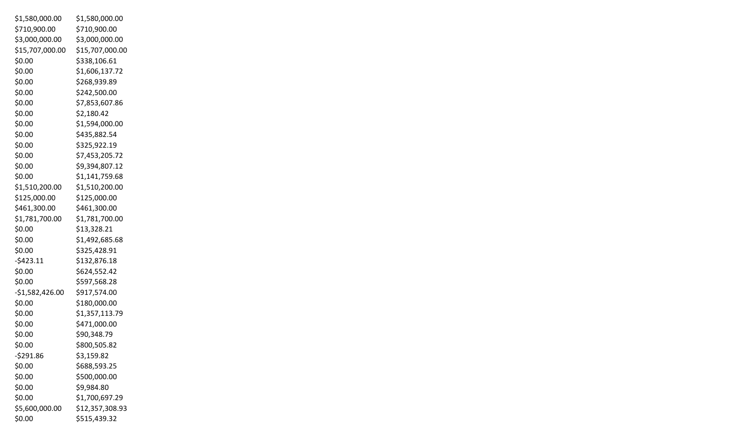| \$1,580,000.00   | \$1,580,000.00  |
|------------------|-----------------|
| \$710,900.00     | \$710,900.00    |
| \$3,000,000.00   | \$3,000,000.00  |
| \$15,707,000.00  | \$15,707,000.00 |
| \$0.00           | \$338,106.61    |
| \$0.00           | \$1,606,137.72  |
| \$0.00           | \$268,939.89    |
| \$0.00           | \$242,500.00    |
| \$0.00           | \$7,853,607.86  |
| \$0.00           | \$2,180.42      |
| \$0.00           | \$1,594,000.00  |
| \$0.00           | \$435,882.54    |
| \$0.00           | \$325,922.19    |
| \$0.00           | \$7,453,205.72  |
| \$0.00           | \$9,394,807.12  |
| \$0.00           | \$1,141,759.68  |
| \$1,510,200.00   | \$1,510,200.00  |
| \$125,000.00     | \$125,000.00    |
| \$461,300.00     | \$461,300.00    |
| \$1,781,700.00   | \$1,781,700.00  |
| \$0.00           | \$13,328.21     |
| \$0.00           | \$1,492,685.68  |
| \$0.00           | \$325,428.91    |
| $-5423.11$       | \$132,876.18    |
| \$0.00           | \$624,552.42    |
| \$0.00           | \$597,568.28    |
| $-51,582,426.00$ | \$917,574.00    |
| \$0.00           | \$180,000.00    |
| \$0.00           | \$1,357,113.79  |
| \$0.00           | \$471,000.00    |
| \$0.00           | \$90,348.79     |
| \$0.00           | \$800,505.82    |
| $-5291.86$       | \$3,159.82      |
| \$0.00           | \$688,593.25    |
| \$0.00           | \$500,000.00    |
| \$0.00           | \$9,984.80      |
| \$0.00           | \$1,700,697.29  |
| \$5,600,000.00   | \$12,357,308.93 |
| \$0.00           | \$515,439.32    |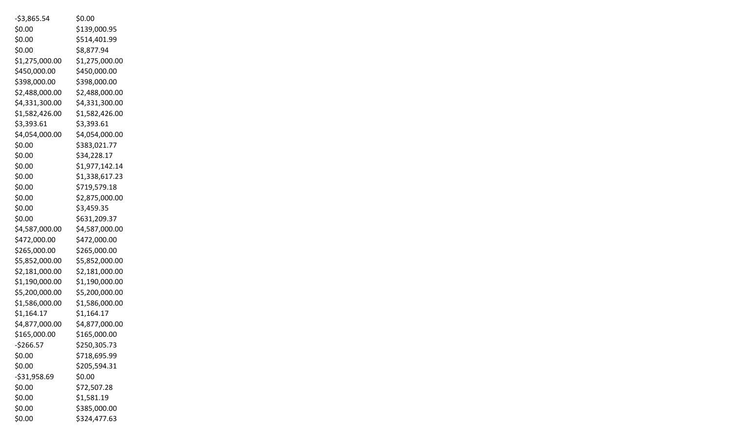| $-53,865.54$   | \$0.00         |
|----------------|----------------|
| \$0.00         | \$139,000.95   |
| \$0.00         | \$514,401.99   |
| \$0.00         | \$8,877.94     |
| \$1,275,000.00 | \$1,275,000.00 |
| \$450,000.00   | \$450,000.00   |
| \$398,000.00   | \$398,000.00   |
| \$2,488,000.00 | \$2,488,000.00 |
| \$4,331,300.00 | \$4,331,300.00 |
| \$1,582,426.00 | \$1,582,426.00 |
| \$3,393.61     | \$3,393.61     |
| \$4,054,000.00 | \$4,054,000.00 |
| \$0.00         | \$383,021.77   |
| \$0.00         | \$34,228.17    |
| \$0.00         | \$1,977,142.14 |
| \$0.00         | \$1,338,617.23 |
| \$0.00         | \$719,579.18   |
| \$0.00         | \$2,875,000.00 |
| \$0.00         | \$3,459.35     |
| \$0.00         | \$631,209.37   |
| \$4,587,000.00 | \$4,587,000.00 |
| \$472,000.00   | \$472,000.00   |
| \$265,000.00   | \$265,000.00   |
| \$5,852,000.00 | \$5,852,000.00 |
| \$2,181,000.00 | \$2,181,000.00 |
| \$1,190,000.00 | \$1,190,000.00 |
| \$5,200,000.00 | \$5,200,000.00 |
| \$1,586,000.00 | \$1,586,000.00 |
| \$1,164.17     | \$1,164.17     |
| \$4,877,000.00 | \$4,877,000.00 |
| \$165,000.00   | \$165,000.00   |
| $-$266.57$     | \$250,305.73   |
| \$0.00         | \$718,695.99   |
| \$0.00         | \$205,594.31   |
| $-531,958.69$  | \$0.00         |
| \$0.00         | \$72,507.28    |
| \$0.00         | \$1,581.19     |
| \$0.00         | \$385,000.00   |
| \$0.00         | \$324,477.63   |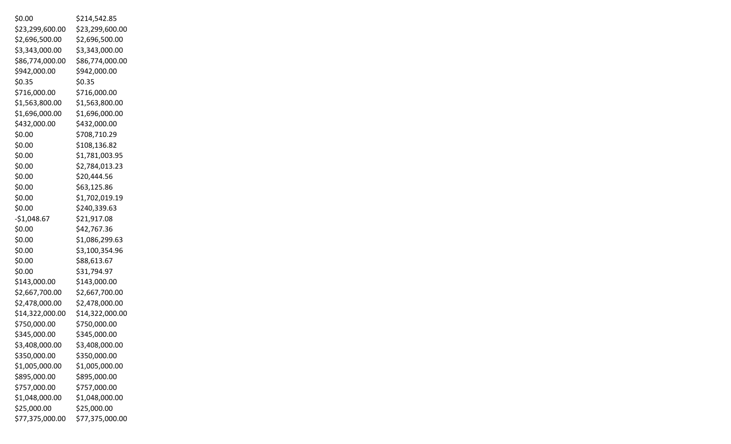| \$0.00          | \$214,542.85    |
|-----------------|-----------------|
| \$23,299,600.00 | \$23,299,600.00 |
| \$2,696,500.00  | \$2,696,500.00  |
| \$3,343,000.00  | \$3,343,000.00  |
| \$86,774,000.00 | \$86,774,000.00 |
| \$942,000.00    | \$942,000.00    |
| \$0.35          | \$0.35          |
| \$716,000.00    | \$716,000.00    |
| \$1,563,800.00  | \$1,563,800.00  |
| \$1,696,000.00  | \$1,696,000.00  |
| \$432,000.00    | \$432,000.00    |
| \$0.00          | \$708,710.29    |
| \$0.00          | \$108,136.82    |
| \$0.00          | \$1,781,003.95  |
| \$0.00          | \$2,784,013.23  |
| \$0.00          | \$20,444.56     |
| \$0.00          | \$63,125.86     |
| \$0.00          | \$1,702,019.19  |
| \$0.00          | \$240,339.63    |
| $-$1,048.67$    | \$21,917.08     |
| \$0.00          | \$42,767.36     |
| \$0.00          | \$1,086,299.63  |
| \$0.00          | \$3,100,354.96  |
| \$0.00          | \$88,613.67     |
| \$0.00          | \$31,794.97     |
| \$143,000.00    | \$143,000.00    |
| \$2,667,700.00  | \$2,667,700.00  |
| \$2,478,000.00  | \$2,478,000.00  |
| \$14,322,000.00 | \$14,322,000.00 |
| \$750,000.00    | \$750,000.00    |
| \$345,000.00    | \$345,000.00    |
| \$3,408,000.00  | \$3,408,000.00  |
| \$350,000.00    | \$350,000.00    |
| \$1,005,000.00  | \$1,005,000.00  |
| \$895,000.00    | \$895,000.00    |
| \$757,000.00    | \$757,000.00    |
| \$1,048,000.00  | \$1,048,000.00  |
| \$25,000.00     | \$25,000.00     |
| \$77,375,000.00 | \$77,375,000.00 |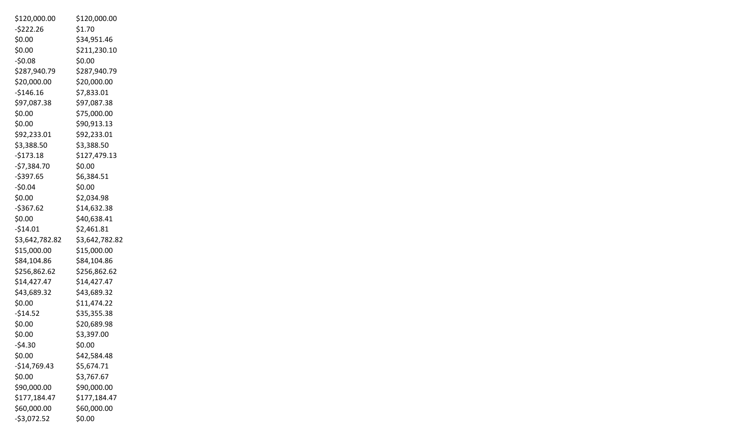| \$120,000.00   | \$120,000.00   |
|----------------|----------------|
| $-5222.26$     | \$1.70         |
| \$0.00         | \$34,951.46    |
| \$0.00         | \$211,230.10   |
| $-50.08$       | \$0.00         |
| \$287,940.79   | \$287,940.79   |
| \$20,000.00    | \$20,000.00    |
| $-$146.16$     | \$7,833.01     |
| \$97,087.38    | \$97,087.38    |
| \$0.00         | \$75,000.00    |
| \$0.00         | \$90,913.13    |
| \$92,233.01    | \$92,233.01    |
| \$3,388.50     | \$3,388.50     |
| $-5173.18$     | \$127,479.13   |
| $-57,384.70$   | \$0.00         |
| $-5397.65$     | \$6,384.51     |
| $-50.04$       | \$0.00         |
| \$0.00         | \$2,034.98     |
| $-$367.62$     | \$14,632.38    |
| \$0.00         | \$40,638.41    |
| $-$14.01$      | \$2,461.81     |
| \$3,642,782.82 | \$3,642,782.82 |
| \$15,000.00    | \$15,000.00    |
| \$84,104.86    | \$84,104.86    |
| \$256,862.62   | \$256,862.62   |
| \$14,427.47    | \$14,427.47    |
| \$43,689.32    | \$43,689.32    |
| \$0.00         | \$11,474.22    |
| $-$14.52$      | \$35,355.38    |
| \$0.00         | \$20,689.98    |
| \$0.00         | \$3,397.00     |
| $-54.30$       | \$0.00         |
| \$0.00         | \$42,584.48    |
| $-$14,769.43$  | \$5,674.71     |
| \$0.00         | \$3,767.67     |
| \$90,000.00    | \$90,000.00    |
| \$177,184.47   | \$177,184.47   |
| \$60,000.00    | \$60,000.00    |
| $-$3,072.52$   | \$0.00         |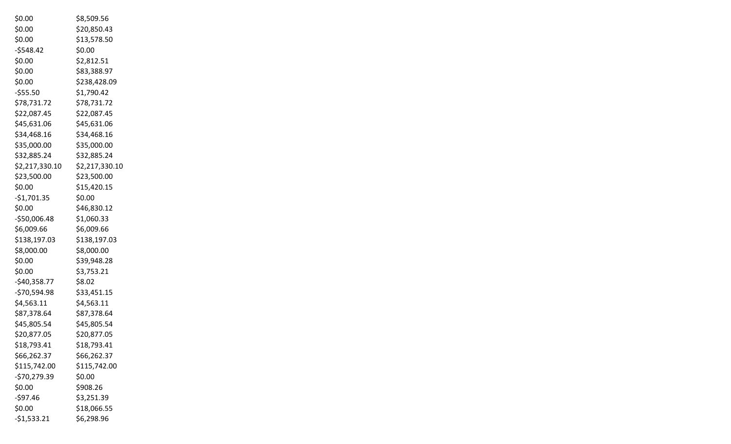| \$0.00         | \$8,509.56     |
|----------------|----------------|
| \$0.00         | \$20,850.43    |
| \$0.00         | \$13,578.50    |
| $-5548.42$     | \$0.00         |
| \$0.00         | \$2,812.51     |
| \$0.00         | \$83,388.97    |
| \$0.00         | \$238,428.09   |
| $-555.50$      | \$1,790.42     |
| \$78,731.72    | \$78,731.72    |
| \$22,087.45    | \$22,087.45    |
| \$45,631.06    | \$45,631.06    |
| \$34,468.16    | \$34,468.16    |
| \$35,000.00    | \$35,000.00    |
| \$32,885.24    | \$32,885.24    |
| \$2,217,330.10 | \$2,217,330.10 |
| \$23,500.00    | \$23,500.00    |
| \$0.00         | \$15,420.15    |
| $-$1,701.35$   | \$0.00         |
| \$0.00         | \$46,830.12    |
| -\$50,006.48   | \$1,060.33     |
| \$6,009.66     | \$6,009.66     |
| \$138,197.03   | \$138,197.03   |
| \$8,000.00     | \$8,000.00     |
| \$0.00         | \$39,948.28    |
| \$0.00         | \$3,753.21     |
| $-$40,358.77$  | \$8.02         |
| $-570,594.98$  | \$33,451.15    |
| \$4,563.11     | \$4,563.11     |
| \$87,378.64    | \$87,378.64    |
| \$45,805.54    | \$45,805.54    |
| \$20,877.05    | \$20,877.05    |
| \$18,793.41    | \$18,793.41    |
| \$66,262.37    | \$66,262.37    |
| \$115,742.00   | \$115,742.00   |
| $-$70,279.39$  | \$0.00         |
| \$0.00         | \$908.26       |
| $-597.46$      | \$3,251.39     |
| \$0.00         | \$18,066.55    |
| $-51,533.21$   | \$6,298.96     |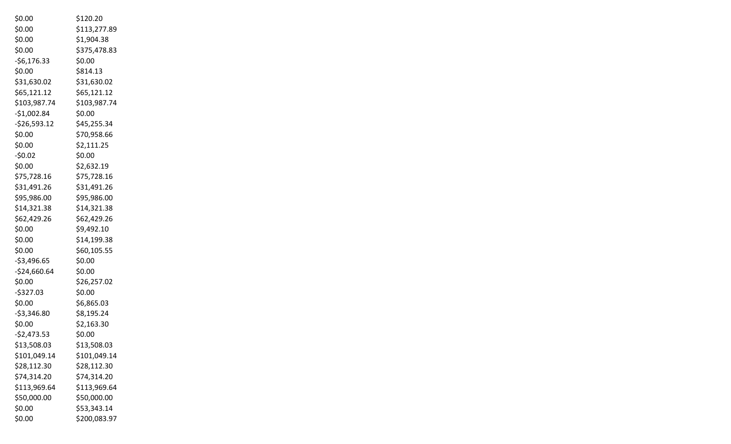| \$0.00         | \$120.20     |
|----------------|--------------|
| \$0.00         | \$113,277.89 |
| \$0.00         | \$1,904.38   |
| \$0.00         | \$375,478.83 |
| $-56, 176.33$  | \$0.00       |
| \$0.00         | \$814.13     |
| \$31,630.02    | \$31,630.02  |
| \$65,121.12    | \$65,121.12  |
| \$103,987.74   | \$103,987.74 |
| $-$1,002.84$   | \$0.00       |
| $-526,593.12$  | \$45,255.34  |
| \$0.00         | \$70,958.66  |
| \$0.00         | \$2,111.25   |
| $-50.02$       | \$0.00       |
| \$0.00         | \$2,632.19   |
| \$75,728.16    | \$75,728.16  |
| \$31,491.26    | \$31,491.26  |
| \$95,986.00    | \$95,986.00  |
| \$14,321.38    | \$14,321.38  |
| \$62,429.26    | \$62,429.26  |
| \$0.00         | \$9,492.10   |
| \$0.00         | \$14,199.38  |
| \$0.00         | \$60,105.55  |
| $-$3,496.65$   | \$0.00       |
| $-$24,660.64$  | \$0.00       |
| \$0.00         | \$26,257.02  |
| $-5327.03$     | \$0.00       |
| \$0.00         | \$6,865.03   |
| $-53,346.80$   | \$8,195.24   |
| \$0.00         | \$2,163.30   |
| $-$ \$2,473.53 | \$0.00       |
| \$13,508.03    | \$13,508.03  |
| \$101,049.14   | \$101,049.14 |
| \$28,112.30    | \$28,112.30  |
| \$74,314.20    | \$74,314.20  |
| \$113,969.64   | \$113,969.64 |
| \$50,000.00    | \$50,000.00  |
| \$0.00         | \$53,343.14  |
| \$0.00         | \$200,083.97 |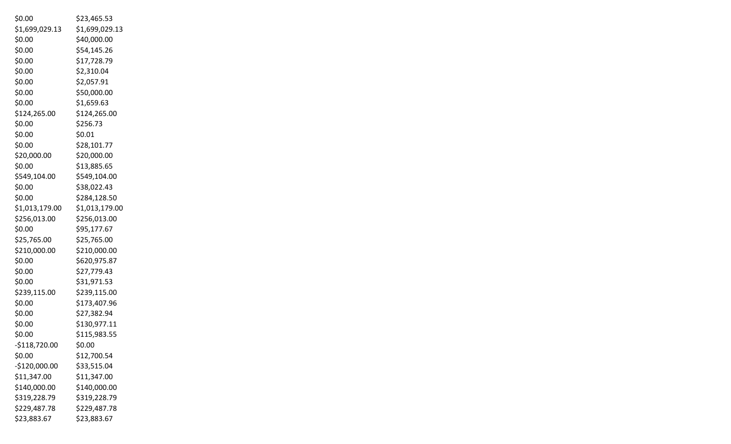| \$0.00         | \$23,465.53    |
|----------------|----------------|
| \$1,699,029.13 | \$1,699,029.13 |
| \$0.00         | \$40,000.00    |
| \$0.00         | \$54,145.26    |
| \$0.00         | \$17,728.79    |
| \$0.00         | \$2,310.04     |
| \$0.00         | \$2,057.91     |
| \$0.00         | \$50,000.00    |
| \$0.00         | \$1,659.63     |
| \$124,265.00   | \$124,265.00   |
| \$0.00         | \$256.73       |
| \$0.00         | \$0.01         |
| \$0.00         | \$28,101.77    |
| \$20,000.00    | \$20,000.00    |
| \$0.00         | \$13,885.65    |
| \$549,104.00   | \$549,104.00   |
| \$0.00         | \$38,022.43    |
| \$0.00         | \$284,128.50   |
| \$1,013,179.00 | \$1,013,179.00 |
| \$256,013.00   | \$256,013.00   |
| \$0.00         | \$95,177.67    |
| \$25,765.00    | \$25,765.00    |
| \$210,000.00   | \$210,000.00   |
| \$0.00         | \$620,975.87   |
| \$0.00         | \$27,779.43    |
| \$0.00         | \$31,971.53    |
| \$239,115.00   | \$239,115.00   |
| \$0.00         | \$173,407.96   |
| \$0.00         | \$27,382.94    |
| \$0.00         | \$130,977.11   |
| \$0.00         | \$115,983.55   |
| $-5118,720.00$ | \$0.00         |
| \$0.00         | \$12,700.54    |
| -\$120,000.00  | \$33,515.04    |
| \$11,347.00    | \$11,347.00    |
| \$140,000.00   | \$140,000.00   |
| \$319,228.79   | \$319,228.79   |
| \$229,487.78   | \$229,487.78   |
| \$23,883.67    | \$23,883.67    |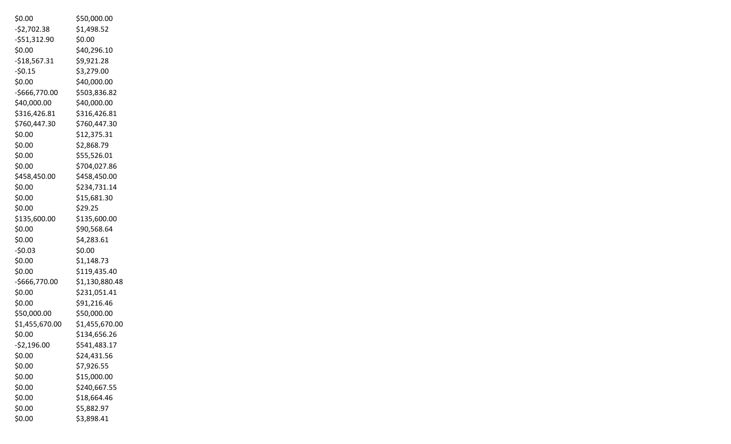| \$0.00         | \$50,000.00    |
|----------------|----------------|
| $-$2,702.38$   | \$1,498.52     |
| $-551,312.90$  | \$0.00         |
| \$0.00         | \$40,296.10    |
| $-$18,567.31$  | \$9,921.28     |
| $-50.15$       | \$3,279.00     |
| \$0.00         | \$40,000.00    |
| -\$666,770.00  | \$503,836.82   |
| \$40,000.00    | \$40,000.00    |
| \$316,426.81   | \$316,426.81   |
| \$760,447.30   | \$760,447.30   |
| \$0.00         | \$12,375.31    |
| \$0.00         | \$2,868.79     |
| \$0.00         | \$55,526.01    |
| \$0.00         | \$704,027.86   |
| \$458,450.00   | \$458,450.00   |
| \$0.00         | \$234,731.14   |
| \$0.00         | \$15,681.30    |
| \$0.00         | \$29.25        |
| \$135,600.00   | \$135,600.00   |
| \$0.00         | \$90,568.64    |
| \$0.00         | \$4,283.61     |
| $-50.03$       | \$0.00         |
| \$0.00         | \$1,148.73     |
| \$0.00         | \$119,435.40   |
| -\$666,770.00  | \$1,130,880.48 |
| \$0.00         | \$231,051.41   |
| \$0.00         | \$91,216.46    |
| \$50,000.00    | \$50,000.00    |
| \$1,455,670.00 | \$1,455,670.00 |
| \$0.00         | \$134,656.26   |
| $-52,196.00$   | \$541,483.17   |
| \$0.00         | \$24,431.56    |
| \$0.00         | \$7,926.55     |
| \$0.00         | \$15,000.00    |
| \$0.00         | \$240,667.55   |
| \$0.00         | \$18,664.46    |
| \$0.00         | \$5,882.97     |
| \$0.00         | \$3,898.41     |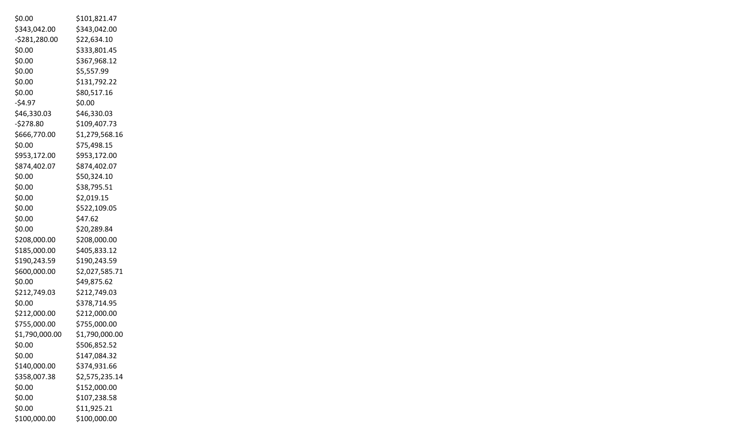| \$0.00         | \$101,821.47   |
|----------------|----------------|
| \$343,042.00   | \$343,042.00   |
| $-5281,280.00$ | \$22,634.10    |
| \$0.00         | \$333,801.45   |
| \$0.00         | \$367,968.12   |
| \$0.00         | \$5,557.99     |
| \$0.00         | \$131,792.22   |
| \$0.00         | \$80,517.16    |
| $-54.97$       | \$0.00         |
| \$46,330.03    | \$46,330.03    |
| $-5278.80$     | \$109,407.73   |
| \$666,770.00   | \$1,279,568.16 |
| \$0.00         | \$75,498.15    |
| \$953,172.00   | \$953,172.00   |
| \$874,402.07   | \$874,402.07   |
| \$0.00         | \$50,324.10    |
| \$0.00         | \$38,795.51    |
| \$0.00         | \$2,019.15     |
| \$0.00         | \$522,109.05   |
| \$0.00         | \$47.62        |
| \$0.00         | \$20,289.84    |
| \$208,000.00   | \$208,000.00   |
| \$185,000.00   | \$405,833.12   |
| \$190,243.59   | \$190,243.59   |
| \$600,000.00   | \$2,027,585.71 |
| \$0.00         | \$49,875.62    |
| \$212,749.03   | \$212,749.03   |
| \$0.00         | \$378,714.95   |
| \$212,000.00   | \$212,000.00   |
| \$755,000.00   | \$755,000.00   |
| \$1,790,000.00 | \$1,790,000.00 |
| \$0.00         | \$506,852.52   |
| \$0.00         | \$147,084.32   |
| \$140,000.00   | \$374,931.66   |
| \$358,007.38   | \$2,575,235.14 |
| \$0.00         | \$152,000.00   |
| \$0.00         | \$107,238.58   |
| \$0.00         | \$11,925.21    |
| \$100,000.00   | \$100,000.00   |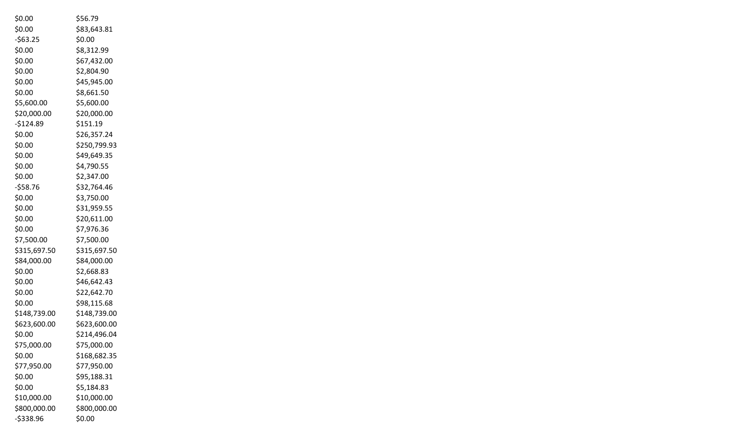| \$0.00       | \$56.79      |
|--------------|--------------|
| \$0.00       | \$83,643.81  |
| $-563.25$    | \$0.00       |
| \$0.00       | \$8,312.99   |
| \$0.00       | \$67,432.00  |
| \$0.00       | \$2,804.90   |
| \$0.00       | \$45,945.00  |
| \$0.00       | \$8,661.50   |
| \$5,600.00   | \$5,600.00   |
| \$20,000.00  | \$20,000.00  |
| $-5124.89$   | \$151.19     |
| \$0.00       | \$26,357.24  |
| \$0.00       | \$250,799.93 |
| \$0.00       | \$49,649.35  |
| \$0.00       | \$4,790.55   |
| \$0.00       | \$2,347.00   |
| $-558.76$    | \$32,764.46  |
| \$0.00       | \$3,750.00   |
| \$0.00       | \$31,959.55  |
| \$0.00       | \$20,611.00  |
| \$0.00       | \$7,976.36   |
| \$7,500.00   | \$7,500.00   |
| \$315,697.50 | \$315,697.50 |
| \$84,000.00  | \$84,000.00  |
| \$0.00       | \$2,668.83   |
| \$0.00       | \$46,642.43  |
| \$0.00       | \$22,642.70  |
| \$0.00       | \$98,115.68  |
| \$148,739.00 | \$148,739.00 |
| \$623,600.00 | \$623,600.00 |
| \$0.00       | \$214,496.04 |
| \$75,000.00  | \$75,000.00  |
| \$0.00       | \$168,682.35 |
| \$77,950.00  | \$77,950.00  |
| \$0.00       | \$95,188.31  |
| \$0.00       | \$5,184.83   |
| \$10,000.00  | \$10,000.00  |
| \$800,000.00 | \$800,000.00 |
| -\$338.96    | \$0.00       |